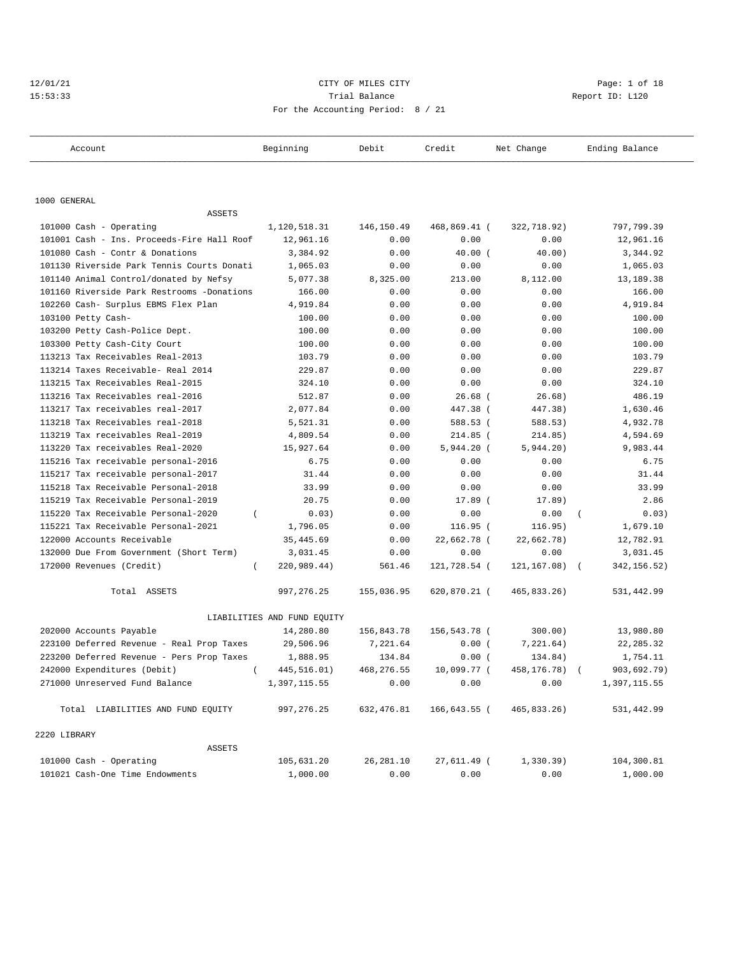# 12/01/21 CITY OF MILES CITY CHECK CITY CHECK CONTROLLER Page: 1 of 18 15:53:33 Trial Balance Report ID: L120 For the Accounting Period: 8 / 21

| Account                                    | Beginning                   | Debit      | Credit       | Net Change    | Ending Balance             |
|--------------------------------------------|-----------------------------|------------|--------------|---------------|----------------------------|
|                                            |                             |            |              |               |                            |
| 1000 GENERAL                               |                             |            |              |               |                            |
| <b>ASSETS</b>                              |                             |            |              |               |                            |
| 101000 Cash - Operating                    | 1,120,518.31                | 146,150.49 | 468,869.41 ( | 322,718.92)   | 797,799.39                 |
| 101001 Cash - Ins. Proceeds-Fire Hall Roof | 12,961.16                   | 0.00       | 0.00         | 0.00          | 12,961.16                  |
| 101080 Cash - Contr & Donations            | 3,384.92                    | 0.00       | $40.00$ (    | 40.00)        | 3,344.92                   |
| 101130 Riverside Park Tennis Courts Donati | 1,065.03                    | 0.00       | 0.00         | 0.00          | 1,065.03                   |
| 101140 Animal Control/donated by Nefsy     | 5,077.38                    | 8,325.00   | 213.00       | 8,112.00      | 13,189.38                  |
| 101160 Riverside Park Restrooms -Donations | 166.00                      | 0.00       | 0.00         | 0.00          | 166.00                     |
| 102260 Cash- Surplus EBMS Flex Plan        | 4,919.84                    | 0.00       | 0.00         | 0.00          | 4,919.84                   |
| 103100 Petty Cash-                         | 100.00                      | 0.00       | 0.00         | 0.00          | 100.00                     |
| 103200 Petty Cash-Police Dept.             | 100.00                      | 0.00       | 0.00         | 0.00          | 100.00                     |
| 103300 Petty Cash-City Court               | 100.00                      | 0.00       | 0.00         | 0.00          | 100.00                     |
| 113213 Tax Receivables Real-2013           | 103.79                      | 0.00       | 0.00         | 0.00          | 103.79                     |
| 113214 Taxes Receivable- Real 2014         | 229.87                      | 0.00       | 0.00         | 0.00          | 229.87                     |
| 113215 Tax Receivables Real-2015           | 324.10                      | 0.00       | 0.00         | 0.00          | 324.10                     |
| 113216 Tax Receivables real-2016           | 512.87                      | 0.00       | $26.68$ (    | 26.68)        | 486.19                     |
| 113217 Tax receivables real-2017           | 2,077.84                    | 0.00       | 447.38 (     | 447.38)       | 1,630.46                   |
| 113218 Tax Receivables real-2018           | 5,521.31                    | 0.00       | 588.53 (     | 588.53)       | 4,932.78                   |
| 113219 Tax receivables Real-2019           | 4,809.54                    | 0.00       | 214.85 (     | 214.85)       | 4,594.69                   |
| 113220 Tax receivables Real-2020           | 15,927.64                   | 0.00       | $5,944.20$ ( | 5,944.20)     | 9,983.44                   |
| 115216 Tax receivable personal-2016        | 6.75                        | 0.00       | 0.00         | 0.00          | 6.75                       |
| 115217 Tax receivable personal-2017        | 31.44                       | 0.00       | 0.00         | 0.00          | 31.44                      |
| 115218 Tax Receivable Personal-2018        | 33.99                       | 0.00       | 0.00         | 0.00          | 33.99                      |
| 115219 Tax Receivable Personal-2019        | 20.75                       | 0.00       | 17.89 (      | 17.89)        | 2.86                       |
| 115220 Tax Receivable Personal-2020        | 0.03)                       | 0.00       | 0.00         | 0.00          | 0.03)                      |
| 115221 Tax Receivable Personal-2021        | 1,796.05                    | 0.00       | $116.95$ (   | 116.95)       | 1,679.10                   |
| 122000 Accounts Receivable                 | 35, 445.69                  | 0.00       | 22,662.78 (  | 22,662.78)    | 12,782.91                  |
| 132000 Due From Government (Short Term)    | 3,031.45                    | 0.00       | 0.00         | 0.00          | 3,031.45                   |
| 172000 Revenues (Credit)<br>$\left($       | 220,989.44)                 | 561.46     | 121,728.54 ( | 121, 167.08)  | 342, 156.52)<br>$\sqrt{2}$ |
| Total ASSETS                               | 997, 276.25                 | 155,036.95 | 620,870.21 ( | 465,833.26)   | 531,442.99                 |
|                                            | LIABILITIES AND FUND EQUITY |            |              |               |                            |
| 202000 Accounts Payable                    | 14,280.80                   | 156,843.78 | 156,543.78 ( | 300.00)       | 13,980.80                  |
| 223100 Deferred Revenue - Real Prop Taxes  | 29,506.96                   | 7,221.64   | 0.00(        | 7,221.64)     | 22, 285.32                 |
| 223200 Deferred Revenue - Pers Prop Taxes  | 1,888.95                    | 134.84     | 0.00(        | 134.84)       | 1,754.11                   |
| 242000 Expenditures (Debit)                | 445,516.01)                 | 468,276.55 | 10,099.77 (  | 458,176.78) ( | 903,692.79)                |
| 271000 Unreserved Fund Balance             | 1,397,115.55                | 0.00       | 0.00         | 0.00          | 1,397,115.55               |
| Total LIABILITIES AND FUND EQUITY          | 997, 276.25                 | 632,476.81 | 166,643.55 ( | 465,833.26)   | 531,442.99                 |
| 2220 LIBRARY                               |                             |            |              |               |                            |
| ASSETS                                     |                             |            |              |               |                            |
| 101000 Cash - Operating                    | 105,631.20                  | 26, 281.10 | 27,611.49 (  | 1,330.39)     | 104,300.81                 |
| 101021 Cash-One Time Endowments            | 1,000.00                    | 0.00       | 0.00         | 0.00          | 1,000.00                   |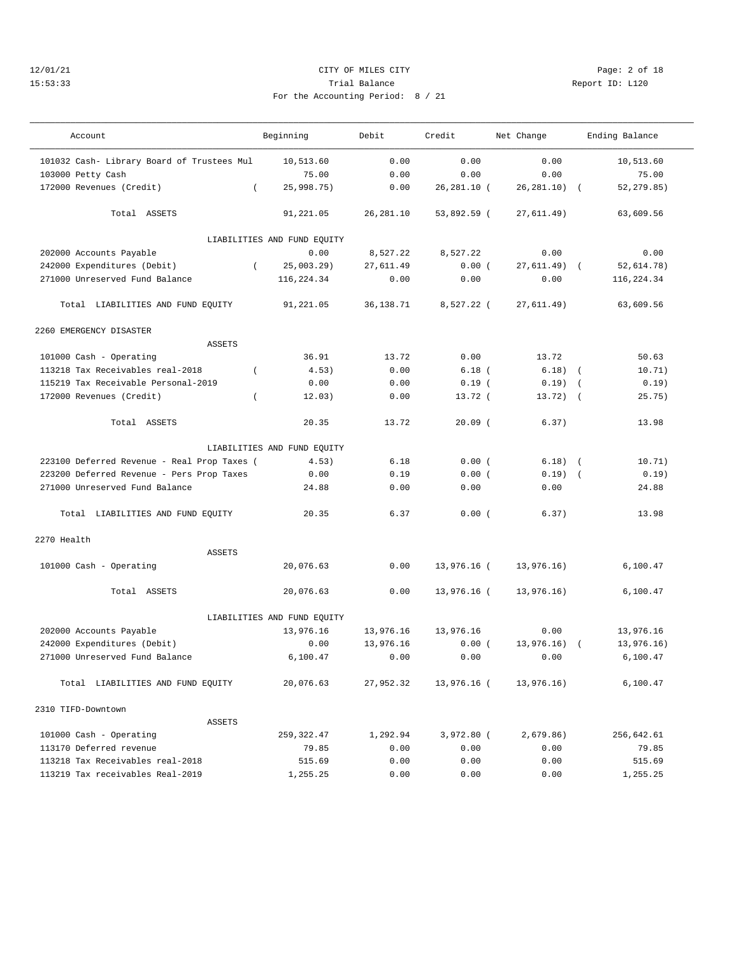### 12/01/21 CITY OF MILES CITY Page: 2 of 18 15:53:33 Trial Balance Report ID: L120 For the Accounting Period: 8 / 21

——————————————————————————————————————————————————————————————————————————————————————————————————————————————————————————————————— Account Beginning Debit Credit Net Change Ending Balance ——————————————————————————————————————————————————————————————————————————————————————————————————————————————————————————————————— 101032 Cash- Library Board of Trustees Mul 10,513.60 0.00 0.00 0.00 10,513.60 103000 Petty Cash 75.00 0.00 0.00 0.00 75.00 172000 Revenues (Credit) ( 25,998.75) 0.00 26,281.10 ( 26,281.10) ( 52,279.85)

| Total ASSETS                                |            | 91,221.05                   | 26, 281.10 | 53,892.59 ( | 27,611.49)    | 63,609.56   |
|---------------------------------------------|------------|-----------------------------|------------|-------------|---------------|-------------|
|                                             |            | LIABILITIES AND FUND EQUITY |            |             |               |             |
| 202000 Accounts Payable                     |            | 0.00                        | 8,527.22   | 8,527.22    | 0.00          | 0.00        |
| 242000 Expenditures (Debit)                 | $\sqrt{2}$ | $25,003.29$ )               | 27,611.49  | 0.00(       | $27,611.49$ ( | 52,614.78)  |
| 271000 Unreserved Fund Balance              |            | 116,224.34                  | 0.00       | 0.00        | 0.00          | 116, 224.34 |
| Total LIABILITIES AND FUND EQUITY           |            | 91,221.05                   | 36,138.71  | 8,527.22 (  | 27,611.49)    | 63,609.56   |
| 2260 EMERGENCY DISASTER                     |            |                             |            |             |               |             |
| ASSETS                                      |            |                             |            |             |               |             |
| 101000 Cash - Operating                     |            | 36.91                       | 13.72      | 0.00        | 13.72         | 50.63       |
| 113218 Tax Receivables real-2018            | $\left($   | 4.53)                       | 0.00       | $6.18$ (    | $6.18)$ (     | 10.71)      |
| 115219 Tax Receivable Personal-2019         |            | 0.00                        | 0.00       | 0.19(       | $0.19$ (      | 0.19)       |
| 172000 Revenues (Credit)                    | $\left($   | 12.03)                      | 0.00       | $13.72$ (   | $13.72)$ (    | 25.75)      |
| Total ASSETS                                |            | 20.35                       | 13.72      | $20.09$ (   | 6.37)         | 13.98       |
|                                             |            | LIABILITIES AND FUND EQUITY |            |             |               |             |
| 223100 Deferred Revenue - Real Prop Taxes ( |            | 4.53)                       | 6.18       | 0.00(       | $6.18)$ (     | 10.71)      |
| 223200 Deferred Revenue - Pers Prop Taxes   |            | 0.00                        | 0.19       | 0.00(       | $0.19)$ (     | 0.19)       |
| 271000 Unreserved Fund Balance              |            | 24.88                       | 0.00       | 0.00        | 0.00          | 24.88       |
| Total LIABILITIES AND FUND EQUITY           |            | 20.35                       | 6.37       | 0.00(       | 6.37)         | 13.98       |
| 2270 Health                                 |            |                             |            |             |               |             |
| <b>ASSETS</b>                               |            |                             |            |             |               |             |
| 101000 Cash - Operating                     |            | 20,076.63                   | 0.00       | 13,976.16 ( | 13,976.16)    | 6, 100.47   |
| Total ASSETS                                |            | 20,076.63                   | 0.00       | 13,976.16 ( | 13,976.16)    | 6,100.47    |
|                                             |            | LIABILITIES AND FUND EQUITY |            |             |               |             |
| 202000 Accounts Payable                     |            | 13,976.16                   | 13,976.16  | 13,976.16   | 0.00          | 13,976.16   |
| 242000 Expenditures (Debit)                 |            | 0.00                        | 13,976.16  | 0.00(       | $13,976.16$ ( | 13,976.16)  |
| 271000 Unreserved Fund Balance              |            | 6,100.47                    | 0.00       | 0.00        | 0.00          | 6,100.47    |
| Total LIABILITIES AND FUND EQUITY           |            | 20,076.63                   | 27,952.32  | 13,976.16 ( | 13,976.16)    | 6,100.47    |

| 2310 TIFD-Downtown               |             |          |          |          |            |
|----------------------------------|-------------|----------|----------|----------|------------|
|                                  | ASSETS      |          |          |          |            |
| 101000 Cash - Operating          | 259, 322.47 | 1,292.94 | 3,972.80 | 2.679.86 | 256,642.61 |
| 113170 Deferred revenue          | 79.85       | 0.00     | 0.00     | 0.00     | 79.85      |
| 113218 Tax Receivables real-2018 | 515.69      | 0.00     | 0.00     | 0.00     | 515.69     |
| 113219 Tax receivables Real-2019 | 1,255.25    | 0.00     | 0.00     | 0.00     | 1,255.25   |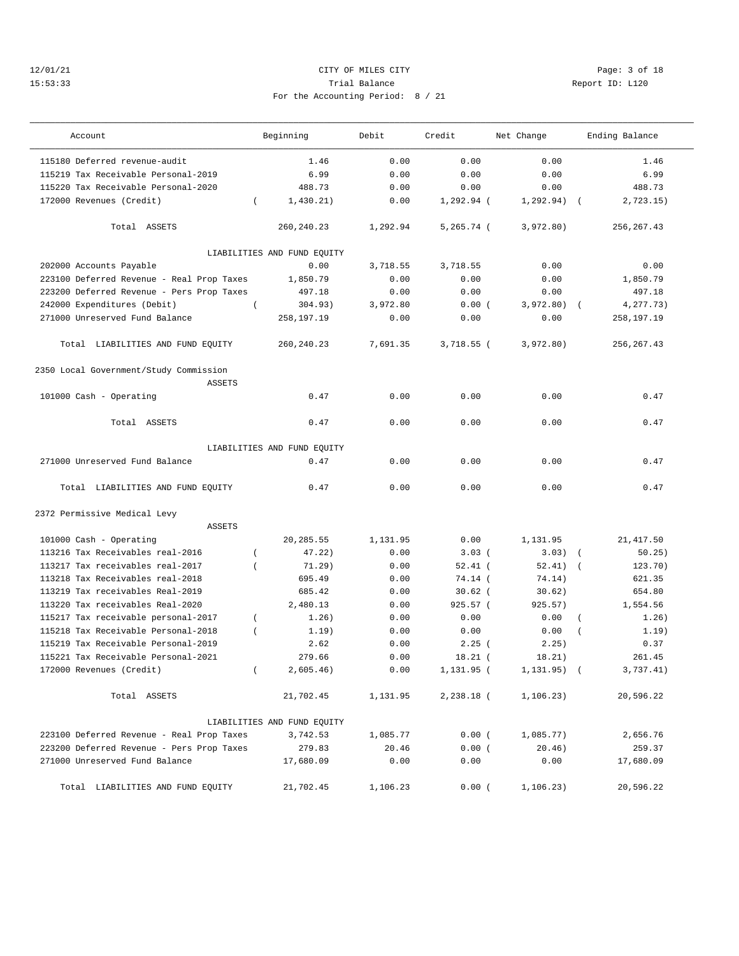## 12/01/21 CITY OF MILES CITY Page: 3 of 18 15:53:33 Trial Balance Report ID: L120 For the Accounting Period: 8 / 21

| Account                                                                                | Beginning                   | Debit<br>Credit |               | Net Change               | Ending Balance       |  |
|----------------------------------------------------------------------------------------|-----------------------------|-----------------|---------------|--------------------------|----------------------|--|
| 115180 Deferred revenue-audit                                                          | 1.46                        | 0.00            | 0.00          | 0.00                     | 1.46                 |  |
| 115219 Tax Receivable Personal-2019                                                    | 6.99                        | 0.00            | 0.00          | 0.00                     | 6.99                 |  |
| 115220 Tax Receivable Personal-2020                                                    | 488.73                      | 0.00            | 0.00          | 0.00                     | 488.73               |  |
| 172000 Revenues (Credit)<br>$\left($                                                   | 1,430.21)                   | 0.00            | $1,292.94$ (  | 1, 292.94)<br>$\sqrt{2}$ | 2,723.15)            |  |
| Total ASSETS                                                                           | 260, 240. 23                | 1,292.94        | $5, 265.74$ ( | 3,972.80)                | 256, 267.43          |  |
|                                                                                        | LIABILITIES AND FUND EQUITY |                 |               |                          |                      |  |
| 202000 Accounts Payable                                                                | 0.00                        | 3,718.55        | 3,718.55      | 0.00                     | 0.00                 |  |
| 223100 Deferred Revenue - Real Prop Taxes                                              | 1,850.79                    | 0.00            | 0.00          | 0.00                     | 1,850.79             |  |
| 223200 Deferred Revenue - Pers Prop Taxes                                              | 497.18                      | 0.00            | 0.00          | 0.00                     | 497.18               |  |
| 242000 Expenditures (Debit)<br>$\left($                                                | 304.93)                     | 3,972.80        | 0.00(         | 3,972.80)                | 4,277.73)            |  |
| 271000 Unreserved Fund Balance                                                         | 258,197.19                  | 0.00            | 0.00          | 0.00                     | 258,197.19           |  |
| Total LIABILITIES AND FUND EQUITY                                                      | 260, 240. 23                | 7,691.35        | $3,718.55$ (  | 3,972.80)                | 256, 267.43          |  |
| 2350 Local Government/Study Commission<br><b>ASSETS</b>                                |                             |                 |               |                          |                      |  |
| 101000 Cash - Operating                                                                | 0.47                        | 0.00            | 0.00          | 0.00                     | 0.47                 |  |
| Total ASSETS                                                                           | 0.47                        | 0.00            | 0.00          | 0.00                     | 0.47                 |  |
|                                                                                        | LIABILITIES AND FUND EQUITY |                 |               |                          |                      |  |
| 271000 Unreserved Fund Balance                                                         | 0.47                        | 0.00            | 0.00          | 0.00                     | 0.47                 |  |
| Total LIABILITIES AND FUND EQUITY                                                      | 0.47                        | 0.00            | 0.00          | 0.00                     | 0.47                 |  |
| 2372 Permissive Medical Levy                                                           |                             |                 |               |                          |                      |  |
| <b>ASSETS</b><br>101000 Cash - Operating                                               | 20,285.55                   | 1,131.95        | 0.00          | 1,131.95                 | 21, 417.50           |  |
| 113216 Tax Receivables real-2016<br>$\overline{ }$                                     | 47.22)                      | 0.00            | $3.03$ (      | 3.03)                    | 50.25)<br>$\sqrt{ }$ |  |
| 113217 Tax receivables real-2017<br>$\overline{ }$                                     | 71.29)                      | 0.00            | $52.41$ (     | 52.41)                   | 123.70)              |  |
| 113218 Tax Receivables real-2018                                                       | 695.49                      | 0.00            | 74.14 (       | 74.14)                   | 621.35               |  |
| 113219 Tax receivables Real-2019                                                       | 685.42                      | 0.00            | $30.62$ (     | 30.62)                   | 654.80               |  |
| 113220 Tax receivables Real-2020                                                       | 2,480.13                    | 0.00            | 925.57(       | 925.57)                  | 1,554.56             |  |
| $\overline{(\ }$                                                                       | 1.26)                       |                 | 0.00          | 0.00                     | $\overline{(\ }$     |  |
| 115217 Tax receivable personal-2017<br>115218 Tax Receivable Personal-2018<br>$\left($ | 1.19)                       | 0.00<br>0.00    | 0.00          | 0.00                     | 1.26)<br>1.19)       |  |
| 115219 Tax Receivable Personal-2019                                                    | 2.62                        | 0.00            | 2.25(         | 2.25)                    | 0.37                 |  |
|                                                                                        |                             |                 |               |                          | 261.45               |  |
| 115221 Tax Receivable Personal-2021                                                    | 279.66                      | 0.00            | $18.21$ (     | 18.21)                   |                      |  |
| 172000 Revenues (Credit)<br>$\left($                                                   | 2,605.46)                   | 0.00            | $1,131.95$ (  | $1, 131.95)$ (           | 3,737.41)            |  |
| Total ASSETS                                                                           | 21,702.45                   | 1,131.95        | 2,238.18 (    | 1, 106.23)               | 20,596.22            |  |
|                                                                                        | LIABILITIES AND FUND EQUITY |                 |               |                          |                      |  |
| 223100 Deferred Revenue - Real Prop Taxes                                              | 3,742.53                    | 1,085.77        | 0.00(         | 1,085.77)                | 2,656.76             |  |
| 223200 Deferred Revenue - Pers Prop Taxes                                              | 279.83                      | 20.46           | 0.00(         | 20.46)                   | 259.37               |  |
| 271000 Unreserved Fund Balance                                                         | 17,680.09                   | 0.00            | 0.00          | 0.00                     | 17,680.09            |  |
| Total LIABILITIES AND FUND EQUITY                                                      | 21,702.45                   | 1,106.23        | 0.00(         | 1,106.23)                | 20,596.22            |  |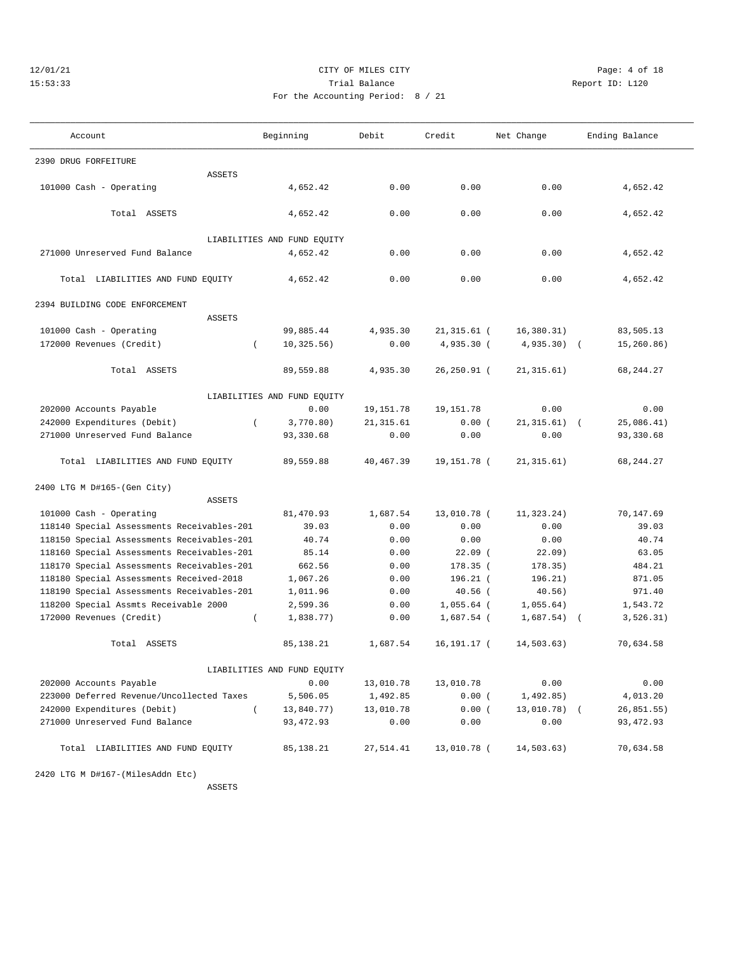## 12/01/21 CITY OF MILES CITY Page: 4 of 18 15:53:33 Trial Balance Report ID: L120 For the Accounting Period: 8 / 21

———————————————————————————————————————————————————————————————————————————————————————————————————————————————————————————————————

| Account                                    | Beginning                   | Debit      | Credit         | Net Change     | Ending Balance |
|--------------------------------------------|-----------------------------|------------|----------------|----------------|----------------|
| 2390 DRUG FORFEITURE                       |                             |            |                |                |                |
| ASSETS                                     |                             |            |                |                |                |
| 101000 Cash - Operating                    | 4,652.42                    | 0.00       | 0.00           | 0.00           | 4,652.42       |
| Total ASSETS                               | 4,652.42                    | 0.00       | 0.00           | 0.00           | 4,652.42       |
|                                            | LIABILITIES AND FUND EQUITY |            |                |                |                |
| 271000 Unreserved Fund Balance             | 4,652.42                    | 0.00       | 0.00           | 0.00           | 4,652.42       |
|                                            |                             |            |                |                |                |
| Total LIABILITIES AND FUND EQUITY          | 4,652.42                    | 0.00       | 0.00           | 0.00           | 4,652.42       |
| 2394 BUILDING CODE ENFORCEMENT             |                             |            |                |                |                |
| ASSETS                                     |                             |            |                |                |                |
| 101000 Cash - Operating                    | 99,885.44                   | 4,935.30   | $21, 315.61$ ( | 16, 380.31)    | 83,505.13      |
| 172000 Revenues (Credit)                   | 10, 325.56)                 | 0.00       | 4,935.30 (     | $4,935.30$ (   | 15,260.86)     |
|                                            |                             |            |                |                |                |
| Total ASSETS                               | 89,559.88                   | 4,935.30   | 26,250.91 (    | 21, 315.61)    | 68, 244. 27    |
|                                            | LIABILITIES AND FUND EQUITY |            |                |                |                |
| 202000 Accounts Payable                    | 0.00                        | 19, 151.78 | 19, 151.78     | 0.00           | 0.00           |
| 242000 Expenditures (Debit)                | $\left($<br>3,770.80)       | 21, 315.61 | 0.00(          | $21,315.61)$ ( | 25,086.41)     |
| 271000 Unreserved Fund Balance             | 93,330.68                   | 0.00       | 0.00           | 0.00           | 93,330.68      |
| Total LIABILITIES AND FUND EQUITY          | 89,559.88                   | 40,467.39  | 19,151.78 (    | 21, 315.61)    | 68, 244. 27    |
| 2400 LTG M D#165-(Gen City)                |                             |            |                |                |                |
| ASSETS                                     |                             |            |                |                |                |
| 101000 Cash - Operating                    | 81,470.93                   | 1,687.54   | 13,010.78 (    | 11,323.24)     | 70,147.69      |
| 118140 Special Assessments Receivables-201 | 39.03                       | 0.00       | 0.00           | 0.00           | 39.03          |
| 118150 Special Assessments Receivables-201 | 40.74                       | 0.00       | 0.00           | 0.00           | 40.74          |
| 118160 Special Assessments Receivables-201 | 85.14                       | 0.00       | $22.09$ (      | 22.09)         | 63.05          |
| 118170 Special Assessments Receivables-201 | 662.56                      | 0.00       | 178.35 (       | 178.35)        | 484.21         |
| 118180 Special Assessments Received-2018   | 1,067.26                    | 0.00       | 196.21 (       | 196.21)        | 871.05         |
| 118190 Special Assessments Receivables-201 | 1,011.96                    | 0.00       | $40.56$ (      | 40.56)         | 971.40         |
| 118200 Special Assmts Receivable 2000      | 2,599.36                    | 0.00       | $1,055.64$ (   | 1,055.64)      | 1,543.72       |
| 172000 Revenues (Credit)                   | 1,838.77)<br>$\left($       | 0.00       | 1,687.54 (     | $1,687.54$ (   | 3, 526.31)     |
| Total ASSETS                               | 85, 138.21                  | 1,687.54   | $16, 191.17$ ( | 14,503.63)     | 70,634.58      |
|                                            | LIABILITIES AND FUND EQUITY |            |                |                |                |
| 202000 Accounts Payable                    | 0.00                        | 13,010.78  | 13,010.78      | 0.00           | 0.00           |
| 223000 Deferred Revenue/Uncollected Taxes  | 5,506.05                    | 1,492.85   | 0.00(          | 1,492.85)      | 4,013.20       |
| 242000 Expenditures (Debit)                | 13,840.77)                  | 13,010.78  | 0.00(          | 13,010.78) (   | 26,851.55)     |
| 271000 Unreserved Fund Balance             | 93, 472.93                  | 0.00       | 0.00           | 0.00           | 93, 472.93     |
|                                            |                             |            |                |                |                |
| Total LIABILITIES AND FUND EQUITY          | 85,138.21                   | 27,514.41  | 13,010.78 (    | 14,503.63)     | 70,634.58      |
| 2420 LTG M D#167-(MilesAddn Etc)           |                             |            |                |                |                |

ASSETS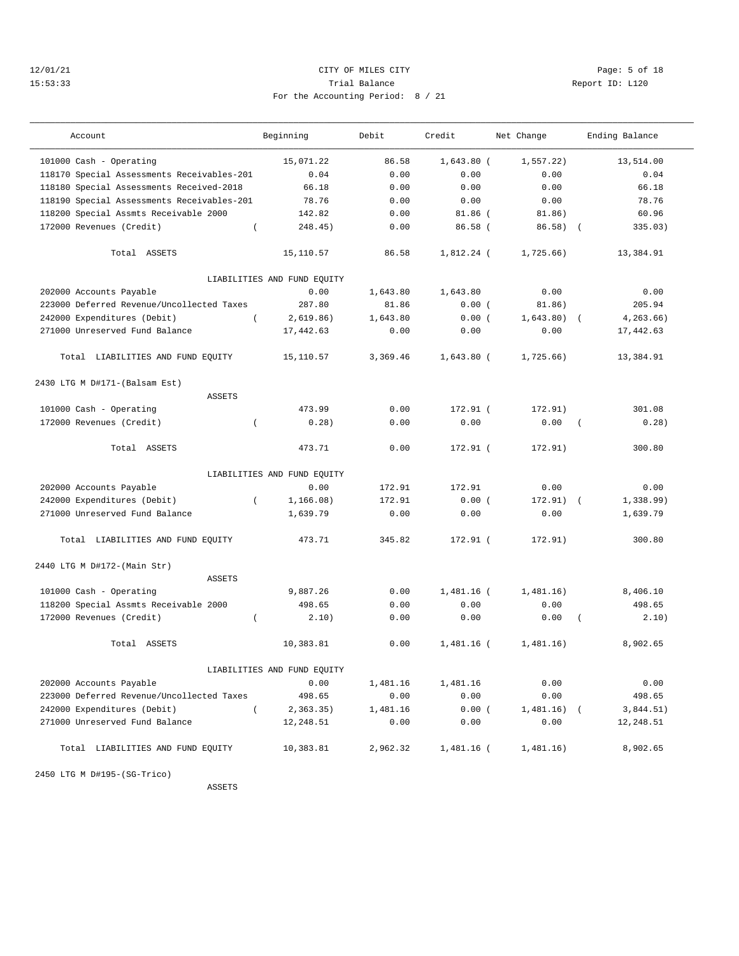## 12/01/21 CITY OF MILES CITY Page: 5 of 18 15:53:33 Trial Balance Report ID: L120 For the Accounting Period: 8 / 21

| Account                                    | Beginning                   | Debit    | Credit       | Net Change  | Ending Balance          |
|--------------------------------------------|-----------------------------|----------|--------------|-------------|-------------------------|
| 101000 Cash - Operating                    | 15,071.22                   | 86.58    | $1,643.80$ ( | 1, 557.22   | 13,514.00               |
| 118170 Special Assessments Receivables-201 | 0.04                        | 0.00     | 0.00         | 0.00        | 0.04                    |
| 118180 Special Assessments Received-2018   | 66.18                       | 0.00     | 0.00         | 0.00        | 66.18                   |
| 118190 Special Assessments Receivables-201 | 78.76                       | 0.00     | 0.00         | 0.00        | 78.76                   |
| 118200 Special Assmts Receivable 2000      | 142.82                      | 0.00     | $81.86$ (    | 81.86)      | 60.96                   |
| 172000 Revenues (Credit)                   | 248.45)<br>$\left($         | 0.00     | $86.58$ (    | $86.58$ (   | 335.03)                 |
| Total ASSETS                               | 15,110.57                   | 86.58    | 1,812.24 (   | 1,725.66)   | 13,384.91               |
|                                            | LIABILITIES AND FUND EQUITY |          |              |             |                         |
| 202000 Accounts Payable                    | 0.00                        | 1,643.80 | 1,643.80     | 0.00        | 0.00                    |
| 223000 Deferred Revenue/Uncollected Taxes  | 287.80                      | 81.86    | 0.00(        | 81.86)      | 205.94                  |
| 242000 Expenditures (Debit)                | 2,619.86)<br>$\left($       | 1,643.80 | 0.00(        | 1,643.80)   | 4, 263.66)              |
| 271000 Unreserved Fund Balance             | 17,442.63                   | 0.00     | 0.00         | 0.00        | 17,442.63               |
| Total LIABILITIES AND FUND EQUITY          | 15,110.57                   | 3,369.46 | $1,643.80$ ( | 1,725.66)   | 13,384.91               |
| 2430 LTG M D#171-(Balsam Est)              |                             |          |              |             |                         |
| <b>ASSETS</b>                              |                             |          |              |             |                         |
| 101000 Cash - Operating                    | 473.99                      | 0.00     | $172.91$ (   | 172.91)     | 301.08                  |
| 172000 Revenues (Credit)                   | 0.28)<br>$\left($           | 0.00     | 0.00         | 0.00        | 0.28)<br>$\overline{ }$ |
| Total ASSETS                               | 473.71                      | 0.00     | 172.91 (     | 172.91)     | 300.80                  |
|                                            | LIABILITIES AND FUND EQUITY |          |              |             |                         |
| 202000 Accounts Payable                    | 0.00                        | 172.91   | 172.91       | 0.00        | 0.00                    |
| 242000 Expenditures (Debit)                | 1, 166.08)<br>$\left($      | 172.91   | 0.00(        | $172.91)$ ( | 1,338.99)               |
| 271000 Unreserved Fund Balance             | 1,639.79                    | 0.00     | 0.00         | 0.00        | 1,639.79                |
| Total LIABILITIES AND FUND EQUITY          | 473.71                      | 345.82   | 172.91 (     | 172.91)     | 300.80                  |
| 2440 LTG M D#172-(Main Str)                |                             |          |              |             |                         |
| <b>ASSETS</b>                              |                             |          |              |             |                         |
| 101000 Cash - Operating                    | 9,887.26                    | 0.00     | 1,481.16 (   | 1,481,16)   | 8,406.10                |
| 118200 Special Assmts Receivable 2000      | 498.65                      | 0.00     | 0.00         | 0.00        | 498.65                  |
| 172000 Revenues (Credit)                   | 2.10)<br>$\left($           | 0.00     | 0.00         | 0.00        | 2.10)<br>$\left($       |
| Total ASSETS                               | 10,383.81                   | 0.00     | $1,481.16$ ( | 1,481.16)   | 8,902.65                |
|                                            | LIABILITIES AND FUND EQUITY |          |              |             |                         |
| 202000 Accounts Payable                    | 0.00                        | 1,481.16 | 1,481.16     | 0.00        | 0.00                    |
| 223000 Deferred Revenue/Uncollected Taxes  | 498.65                      | 0.00     | 0.00         | 0.00        | 498.65                  |
| 242000 Expenditures (Debit)                | $\left($<br>2,363.35)       | 1,481.16 | 0.00(        | 1,481.16)   | 3,844.51)               |
| 271000 Unreserved Fund Balance             | 12,248.51                   | 0.00     | 0.00         | 0.00        | 12,248.51               |
| Total LIABILITIES AND FUND EQUITY          | 10,383.81                   | 2,962.32 | 1,481.16 (   | 1,481.16)   | 8,902.65                |

2450 LTG M D#195-(SG-Trico)

ASSETS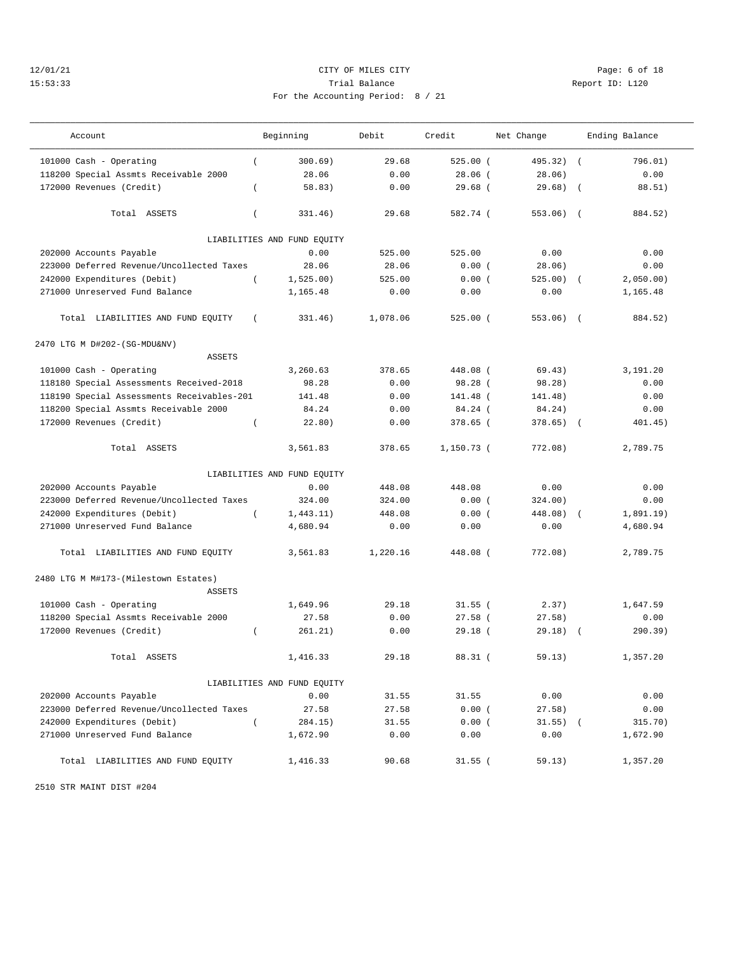# 12/01/21 CITY OF MILES CITY Page: 6 of 18 15:53:33 Trial Balance Report ID: L120 For the Accounting Period: 8 / 21

———————————————————————————————————————————————————————————————————————————————————————————————————————————————————————————————————

| Account                                    |            | Beginning                   | Debit    | Credit     | Net Change |            | Ending Balance |
|--------------------------------------------|------------|-----------------------------|----------|------------|------------|------------|----------------|
| 101000 Cash - Operating                    | $\left($   | 300.69)                     | 29.68    | 525.00(    | 495.32) (  |            | 796.01)        |
| 118200 Special Assmts Receivable 2000      |            | 28.06                       | 0.00     | $28.06$ (  | 28.06)     |            | 0.00           |
| 172000 Revenues (Credit)                   | $\left($   | 58.83)                      | 0.00     | $29.68$ (  | 29.68)     | $\sqrt{2}$ | 88.51)         |
|                                            |            |                             |          |            |            |            |                |
| Total ASSETS                               | $\left($   | 331.46)                     | 29.68    | 582.74 (   | $553.06$ ( |            | 884.52)        |
|                                            |            | LIABILITIES AND FUND EQUITY |          |            |            |            |                |
| 202000 Accounts Payable                    |            | 0.00                        | 525.00   | 525.00     | 0.00       |            | 0.00           |
| 223000 Deferred Revenue/Uncollected Taxes  |            | 28.06                       | 28.06    | 0.00(      | 28.06)     |            | 0.00           |
| 242000 Expenditures (Debit)                | $\left($   | 1,525.00)                   | 525.00   | 0.00(      | $525.00$ ( |            | 2,050.00)      |
| 271000 Unreserved Fund Balance             |            | 1,165.48                    | 0.00     | 0.00       | 0.00       |            | 1,165.48       |
| Total LIABILITIES AND FUND EQUITY          | $\sqrt{2}$ | 331.46)                     | 1,078.06 | $525.00$ ( | $553.06$ ( |            | 884.52)        |
| 2470 LTG M D#202-(SG-MDU&NV)               |            |                             |          |            |            |            |                |
| ASSETS                                     |            |                             |          |            |            |            |                |
| 101000 Cash - Operating                    |            | 3,260.63                    | 378.65   | 448.08 (   | 69.43)     |            | 3,191.20       |
| 118180 Special Assessments Received-2018   |            | 98.28                       | 0.00     | 98.28(     | 98.28)     |            | 0.00           |
| 118190 Special Assessments Receivables-201 |            | 141.48                      | 0.00     | 141.48 (   | 141.48)    |            | 0.00           |
| 118200 Special Assmts Receivable 2000      |            | 84.24                       | 0.00     | $84.24$ (  | 84.24)     |            | 0.00           |
| 172000 Revenues (Credit)                   | $\left($   | 22.80)                      | 0.00     | 378.65 (   | 378.65)    | $\sqrt{2}$ | 401.45)        |
| Total ASSETS                               |            | 3,561.83                    | 378.65   | 1,150.73 ( | 772.08)    |            | 2,789.75       |
|                                            |            | LIABILITIES AND FUND EQUITY |          |            |            |            |                |
| 202000 Accounts Payable                    |            | 0.00                        | 448.08   | 448.08     | 0.00       |            | 0.00           |
| 223000 Deferred Revenue/Uncollected Taxes  |            | 324.00                      | 324.00   | 0.00(      | 324.00)    |            | 0.00           |
| 242000 Expenditures (Debit)                | $\left($   | 1,443.11)                   | 448.08   | 0.00(      | 448.08) (  |            | 1,891.19)      |
| 271000 Unreserved Fund Balance             |            | 4,680.94                    | 0.00     | 0.00       | 0.00       |            | 4,680.94       |
| Total LIABILITIES AND FUND EQUITY          |            | 3,561.83                    | 1,220.16 | 448.08 (   | 772.08)    |            | 2,789.75       |
| 2480 LTG M M#173-(Milestown Estates)       |            |                             |          |            |            |            |                |
| ASSETS                                     |            |                             |          |            |            |            |                |
| 101000 Cash - Operating                    |            | 1,649.96                    | 29.18    | $31.55$ (  | 2.37)      |            | 1,647.59       |
| 118200 Special Assmts Receivable 2000      |            | 27.58                       | 0.00     | $27.58$ (  | 27.58)     |            | 0.00           |
| 172000 Revenues (Credit)                   | $\left($   | 261.21)                     | 0.00     | $29.18$ (  | $29.18)$ ( |            | 290.39)        |
| Total ASSETS                               |            | 1,416.33                    | 29.18    | $88.31$ (  | 59.13)     |            | 1,357.20       |
|                                            |            | LIABILITIES AND FUND EQUITY |          |            |            |            |                |
| 202000 Accounts Payable                    |            | 0.00                        | 31.55    | 31.55      | 0.00       |            | 0.00           |
| 223000 Deferred Revenue/Uncollected Taxes  |            | 27.58                       | 27.58    | 0.00(      | 27.58)     |            | 0.00           |
| 242000 Expenditures (Debit)                | $\left($   | 284.15)                     | 31.55    | 0.00(      | $31.55)$ ( |            | 315.70)        |
| 271000 Unreserved Fund Balance             |            | 1,672.90                    | 0.00     | 0.00       | 0.00       |            | 1,672.90       |
| Total LIABILITIES AND FUND EQUITY          |            | 1,416.33                    | 90.68    | $31.55$ (  | 59.13)     |            | 1,357.20       |

2510 STR MAINT DIST #204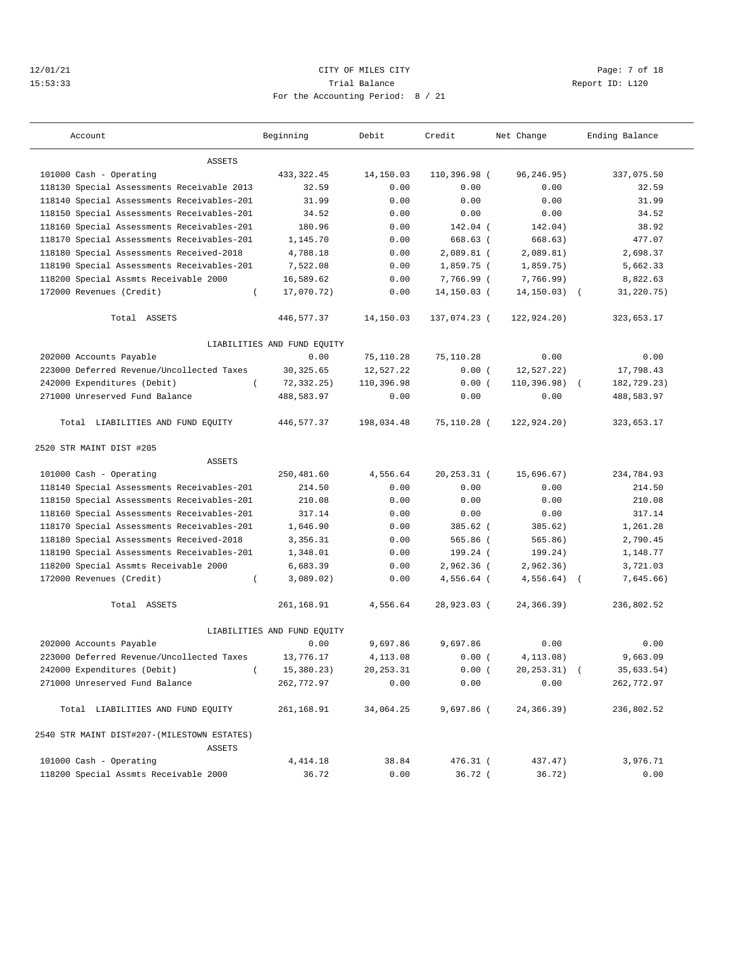## 12/01/21 CITY OF MILES CITY Page: 7 of 18 15:53:33 Trial Balance Report ID: L120 For the Accounting Period: 8 / 21

———————————————————————————————————————————————————————————————————————————————————————————————————————————————————————————————————

| Account                                               | Beginning                   | Debit      | Credit         | Net Change      | Ending Balance |
|-------------------------------------------------------|-----------------------------|------------|----------------|-----------------|----------------|
| ASSETS                                                |                             |            |                |                 |                |
| 101000 Cash - Operating                               | 433, 322.45                 | 14,150.03  | 110,396.98 (   | 96,246.95)      | 337,075.50     |
| 118130 Special Assessments Receivable 2013            | 32.59                       | 0.00       | 0.00           | 0.00            | 32.59          |
| 118140 Special Assessments Receivables-201            | 31.99                       | 0.00       | 0.00           | 0.00            | 31.99          |
| 118150 Special Assessments Receivables-201            | 34.52                       | 0.00       | 0.00           | 0.00            | 34.52          |
| 118160 Special Assessments Receivables-201            | 180.96                      | 0.00       | 142.04 (       | 142.04)         | 38.92          |
| 118170 Special Assessments Receivables-201            | 1,145.70                    | 0.00       | 668.63 (       | 668.63)         | 477.07         |
| 118180 Special Assessments Received-2018              | 4,788.18                    | 0.00       | $2,089.81$ (   | 2,089.81)       | 2,698.37       |
| 118190 Special Assessments Receivables-201            | 7,522.08                    | 0.00       | 1,859.75 (     | 1,859.75)       | 5,662.33       |
| 118200 Special Assmts Receivable 2000                 | 16,589.62                   | 0.00       | 7,766.99 (     | 7,766.99)       | 8,822.63       |
| 172000 Revenues (Credit)                              | 17,070.72)<br>$\left($      | 0.00       | 14,150.03 (    | $14, 150.03)$ ( | 31,220.75)     |
| Total ASSETS                                          | 446,577.37                  | 14,150.03  | 137,074.23 (   | 122,924.20)     | 323,653.17     |
|                                                       | LIABILITIES AND FUND EQUITY |            |                |                 |                |
| 202000 Accounts Payable                               | 0.00                        | 75,110.28  | 75,110.28      | 0.00            | 0.00           |
| 223000 Deferred Revenue/Uncollected Taxes             | 30, 325.65                  | 12,527.22  | 0.00(          | 12, 527.22)     | 17,798.43      |
| 242000 Expenditures (Debit)                           | $\left($<br>72, 332, 25)    | 110,396.98 | 0.00(          | $110,396.98)$ ( | 182,729.23)    |
| 271000 Unreserved Fund Balance                        | 488,583.97                  | 0.00       | 0.00           | 0.00            | 488,583.97     |
| Total LIABILITIES AND FUND EQUITY                     | 446,577.37                  | 198,034.48 | 75,110.28 (    | 122,924.20)     | 323,653.17     |
| 2520 STR MAINT DIST #205                              |                             |            |                |                 |                |
| ASSETS                                                |                             |            |                |                 |                |
| 101000 Cash - Operating                               | 250,481.60                  | 4,556.64   | $20, 253.31$ ( | 15,696.67)      | 234,784.93     |
| 118140 Special Assessments Receivables-201            | 214.50                      | 0.00       | 0.00           | 0.00            | 214.50         |
| 118150 Special Assessments Receivables-201            | 210.08                      | 0.00       | 0.00           | 0.00            | 210.08         |
| 118160 Special Assessments Receivables-201            | 317.14                      | 0.00       | 0.00           | 0.00            | 317.14         |
| 118170 Special Assessments Receivables-201            | 1,646.90                    | 0.00       | 385.62 (       | 385.62)         | 1,261.28       |
| 118180 Special Assessments Received-2018              | 3,356.31                    | 0.00       | $565.86$ (     | 565.86)         | 2,790.45       |
| 118190 Special Assessments Receivables-201            | 1,348.01                    | 0.00       | 199.24 (       | 199.24)         | 1,148.77       |
| 118200 Special Assmts Receivable 2000                 | 6,683.39                    | 0.00       | 2,962.36 (     | 2,962.36)       | 3,721.03       |
| 172000 Revenues (Credit)                              | 3,089.02)<br>$\left($       | 0.00       | 4,556.64 (     | 4,556.64)       | 7,645.66)      |
| Total ASSETS                                          | 261,168.91                  | 4,556.64   | 28,923.03 (    | 24,366.39)      | 236,802.52     |
|                                                       | LIABILITIES AND FUND EQUITY |            |                |                 |                |
| 202000 Accounts Payable                               | 0.00                        | 9,697.86   | 9,697.86       | 0.00            | 0.00           |
| 223000 Deferred Revenue/Uncollected Taxes             | 13,776.17                   | 4,113.08   | 0.00(          | 4, 113.08)      | 9,663.09       |
| 242000 Expenditures (Debit)                           | 15,380.23)                  | 20, 253.31 | 0.00(          | 20,253.31) (    | 35,633.54)     |
| 271000 Unreserved Fund Balance                        | 262,772.97                  | 0.00       | 0.00           | 0.00            | 262,772.97     |
| Total LIABILITIES AND FUND EQUITY                     | 261,168.91                  | 34,064.25  | 9,697.86 (     | 24,366.39)      | 236,802.52     |
| 2540 STR MAINT DIST#207-(MILESTOWN ESTATES)<br>ASSETS |                             |            |                |                 |                |
| 101000 Cash - Operating                               | 4, 414.18                   | 38.84      | $476.31$ (     | 437.47)         | 3,976.71       |
| 118200 Special Assmts Receivable 2000                 | 36.72                       | 0.00       | $36.72$ (      | 36.72)          | 0.00           |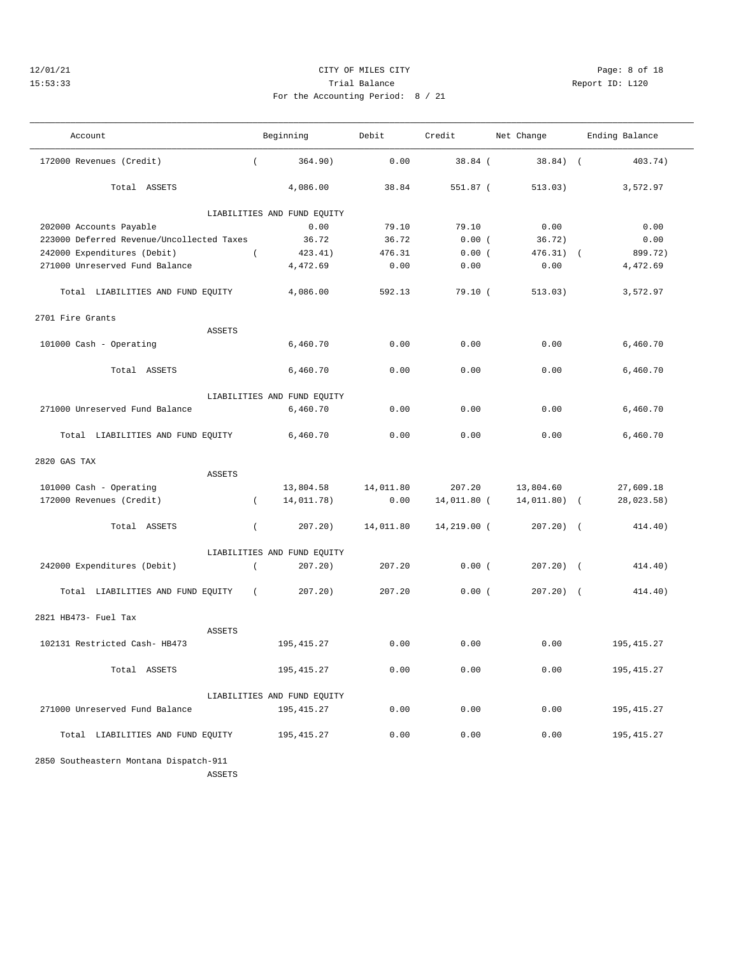## 12/01/21 CITY OF MILES CITY Page: 8 of 18 15:53:33 Trial Balance Report ID: L120 For the Accounting Period: 8 / 21

| Account                                   |               | Beginning                   | Debit     | Credit      | Net Change     | Ending Balance |             |
|-------------------------------------------|---------------|-----------------------------|-----------|-------------|----------------|----------------|-------------|
| 172000 Revenues (Credit)                  | $\left($      | 364.90)                     | 0.00      | $38.84$ (   | $38.84)$ (     |                | 403.74)     |
| Total ASSETS                              |               | 4,086.00                    | 38.84     | 551.87 (    | 513.03)        |                | 3,572.97    |
|                                           |               | LIABILITIES AND FUND EQUITY |           |             |                |                |             |
| 202000 Accounts Payable                   |               | 0.00                        | 79.10     | 79.10       | 0.00           |                | 0.00        |
| 223000 Deferred Revenue/Uncollected Taxes |               | 36.72                       | 36.72     | 0.00(       | 36.72)         |                | 0.00        |
| 242000 Expenditures (Debit)               | $\left($      | 423.41)                     | 476.31    | 0.00(       | $476.31)$ (    |                | 899.72)     |
| 271000 Unreserved Fund Balance            |               | 4,472.69                    | 0.00      | 0.00        | 0.00           |                | 4,472.69    |
| Total LIABILITIES AND FUND EQUITY         |               | 4,086.00                    | 592.13    | 79.10(      | 513.03)        |                | 3,572.97    |
| 2701 Fire Grants                          |               |                             |           |             |                |                |             |
|                                           | <b>ASSETS</b> |                             |           |             |                |                |             |
| 101000 Cash - Operating                   |               | 6,460.70                    | 0.00      | 0.00        | 0.00           |                | 6,460.70    |
| Total ASSETS                              |               | 6,460.70                    | 0.00      | 0.00        | 0.00           |                | 6,460.70    |
|                                           |               | LIABILITIES AND FUND EQUITY |           |             |                |                |             |
| 271000 Unreserved Fund Balance            |               | 6,460.70                    | 0.00      | 0.00        | 0.00           |                | 6,460.70    |
| Total LIABILITIES AND FUND EQUITY         |               | 6,460.70                    | 0.00      | 0.00        | 0.00           |                | 6,460.70    |
| 2820 GAS TAX                              |               |                             |           |             |                |                |             |
|                                           | <b>ASSETS</b> |                             |           |             |                |                |             |
| 101000 Cash - Operating                   |               | 13,804.58                   | 14,011.80 | 207.20      | 13,804.60      |                | 27,609.18   |
| 172000 Revenues (Credit)                  | $\left($      | 14,011.78)                  | 0.00      | 14,011.80 ( | $14,011.80)$ ( |                | 28,023.58)  |
| Total ASSETS                              | $\left($      | 207.20)                     | 14,011.80 | 14,219.00 ( | $207.20)$ (    |                | 414.40)     |
|                                           |               | LIABILITIES AND FUND EQUITY |           |             |                |                |             |
| 242000 Expenditures (Debit)               | $\left($      | 207.20)                     | 207.20    | 0.00(       | $207.20$ ) (   |                | 414.40)     |
| Total LIABILITIES AND FUND EQUITY         | $\left($      | $207.20$ )                  | 207.20    | 0.00(       | $207.20$ ) (   |                | 414.40)     |
| 2821 HB473- Fuel Tax                      |               |                             |           |             |                |                |             |
|                                           | ASSETS        |                             |           |             |                |                |             |
| 102131 Restricted Cash- HB473             |               | 195, 415.27                 | 0.00      | 0.00        | 0.00           |                | 195, 415.27 |
| Total ASSETS                              |               | 195, 415.27                 | 0.00      | 0.00        | 0.00           |                | 195, 415.27 |
|                                           |               | LIABILITIES AND FUND EQUITY |           |             |                |                |             |
| 271000 Unreserved Fund Balance            |               | 195, 415.27                 | 0.00      | 0.00        | 0.00           |                | 195,415.27  |
| Total LIABILITIES AND FUND EQUITY         |               | 195, 415.27                 | 0.00      | 0.00        | 0.00           |                | 195,415.27  |
| 2850 Southeastern Montana Dispatch-911    | ASSETS        |                             |           |             |                |                |             |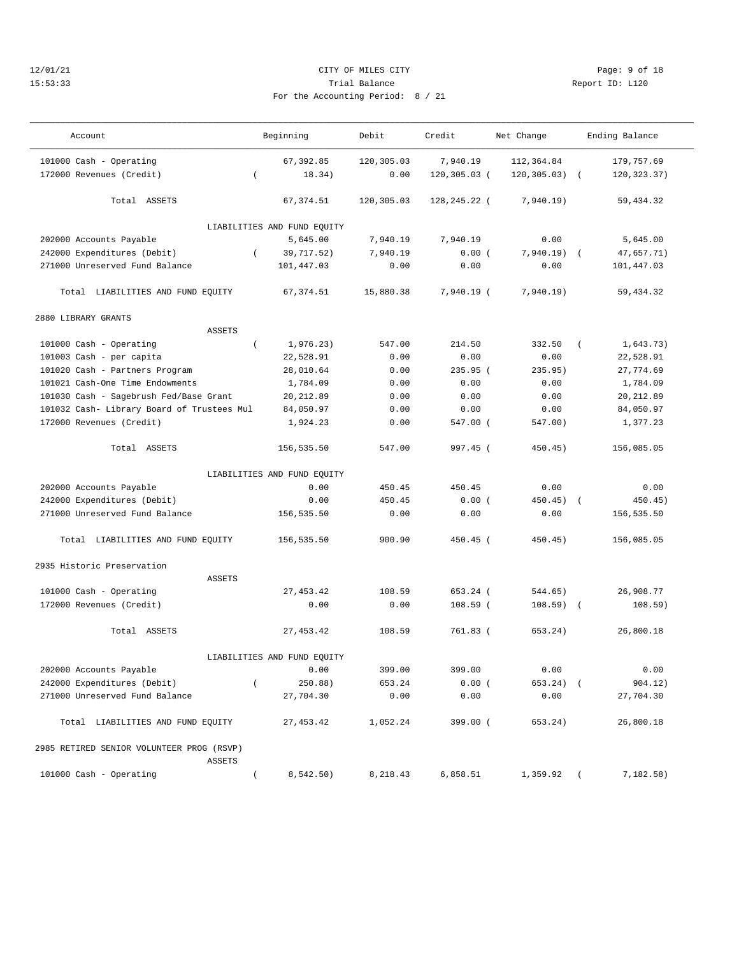## 12/01/21 CITY OF MILES CITY Page: 9 of 18 15:53:33 Trial Balance Report ID: L120 For the Accounting Period: 8 / 21

———————————————————————————————————————————————————————————————————————————————————————————————————————————————————————————————————

| $\sim$ |  |  |  |
|--------|--|--|--|

| Account                                    |                  | Beginning                   | Debit      | Credit          | Net Change       | Ending Balance |  |
|--------------------------------------------|------------------|-----------------------------|------------|-----------------|------------------|----------------|--|
| 101000 Cash - Operating                    |                  | 67,392.85                   | 120,305.03 | 7,940.19        | 112,364.84       | 179,757.69     |  |
| 172000 Revenues (Credit)                   | $\left($         | 18.34)                      | 0.00       | $120, 305.03$ ( | $120, 305.03)$ ( | 120, 323. 37)  |  |
| Total ASSETS                               |                  | 67,374.51                   | 120,305.03 | 128,245.22 (    | 7,940.19)        | 59,434.32      |  |
|                                            |                  | LIABILITIES AND FUND EQUITY |            |                 |                  |                |  |
| 202000 Accounts Payable                    |                  | 5,645.00                    | 7,940.19   | 7,940.19        | 0.00             | 5,645.00       |  |
| 242000 Expenditures (Debit)                | $\left($         | 39,717.52)                  | 7,940.19   | 0.00(           | $7,940.19)$ (    | 47,657.71)     |  |
| 271000 Unreserved Fund Balance             |                  | 101,447.03                  | 0.00       | 0.00            | 0.00             | 101,447.03     |  |
| Total LIABILITIES AND FUND EQUITY          |                  | 67,374.51                   | 15,880.38  | 7,940.19 (      | 7,940.19)        | 59,434.32      |  |
| 2880 LIBRARY GRANTS                        |                  |                             |            |                 |                  |                |  |
| <b>ASSETS</b>                              |                  |                             |            |                 |                  |                |  |
| 101000 Cash - Operating                    | $\left($         | 1,976.23)                   | 547.00     | 214.50          | 332.50           | 1,643.73)      |  |
| 101003 Cash - per capita                   |                  | 22,528.91                   | 0.00       | 0.00            | 0.00             | 22,528.91      |  |
| 101020 Cash - Partners Program             |                  | 28,010.64                   | 0.00       | 235.95 (        | 235.95)          | 27,774.69      |  |
| 101021 Cash-One Time Endowments            |                  | 1,784.09                    | 0.00       | 0.00            | 0.00             | 1,784.09       |  |
| 101030 Cash - Sagebrush Fed/Base Grant     |                  | 20, 212.89                  | 0.00       | 0.00            | 0.00             | 20, 212.89     |  |
| 101032 Cash- Library Board of Trustees Mul |                  | 84,050.97                   | 0.00       | 0.00            | 0.00             | 84,050.97      |  |
| 172000 Revenues (Credit)                   |                  | 1,924.23                    | 0.00       | 547.00 (        | 547.00)          | 1,377.23       |  |
| Total ASSETS                               |                  | 156,535.50                  | 547.00     | 997.45 (        | $450.45$ )       | 156,085.05     |  |
|                                            |                  | LIABILITIES AND FUND EQUITY |            |                 |                  |                |  |
| 202000 Accounts Payable                    |                  | 0.00                        | 450.45     | 450.45          | 0.00             | 0.00           |  |
| 242000 Expenditures (Debit)                |                  | 0.00                        | 450.45     | 0.00(           | $450.45)$ (      | 450.45)        |  |
| 271000 Unreserved Fund Balance             |                  | 156,535.50                  | 0.00       | 0.00            | 0.00             | 156,535.50     |  |
| Total LIABILITIES AND FUND EQUITY          |                  | 156,535.50                  | 900.90     | $450.45$ (      | 450.45)          | 156,085.05     |  |
| 2935 Historic Preservation                 |                  |                             |            |                 |                  |                |  |
| ASSETS                                     |                  |                             |            |                 |                  |                |  |
| 101000 Cash - Operating                    |                  | 27, 453.42                  | 108.59     | 653.24 (        | 544.65)          | 26,908.77      |  |
| 172000 Revenues (Credit)                   |                  | 0.00                        | 0.00       | $108.59$ (      | $108.59$ (       | 108.59)        |  |
| Total ASSETS                               |                  | 27, 453.42                  | 108.59     | 761.83 (        | 653.24)          | 26,800.18      |  |
|                                            |                  | LIABILITIES AND FUND EQUITY |            |                 |                  |                |  |
| 202000 Accounts Payable                    |                  | 0.00                        | 399.00     | 399.00          | 0.00             | 0.00           |  |
| 242000 Expenditures (Debit)                | $\overline{(\ }$ | 250.88)                     | 653.24     | 0.00(           | $653.24)$ (      | 904.12)        |  |
| 271000 Unreserved Fund Balance             |                  | 27,704.30                   | 0.00       | 0.00            | 0.00             | 27,704.30      |  |
| Total LIABILITIES AND FUND EQUITY          |                  | 27, 453.42                  | 1,052.24   | 399.00 (        | 653.24)          | 26,800.18      |  |
| 2985 RETIRED SENIOR VOLUNTEER PROG (RSVP)  |                  |                             |            |                 |                  |                |  |
| ASSETS                                     |                  |                             |            |                 |                  |                |  |
| 101000 Cash - Operating                    |                  | 8,542.50)                   | 8,218.43   | 6,858.51        | $1,359.92$ (     | 7,182.58)      |  |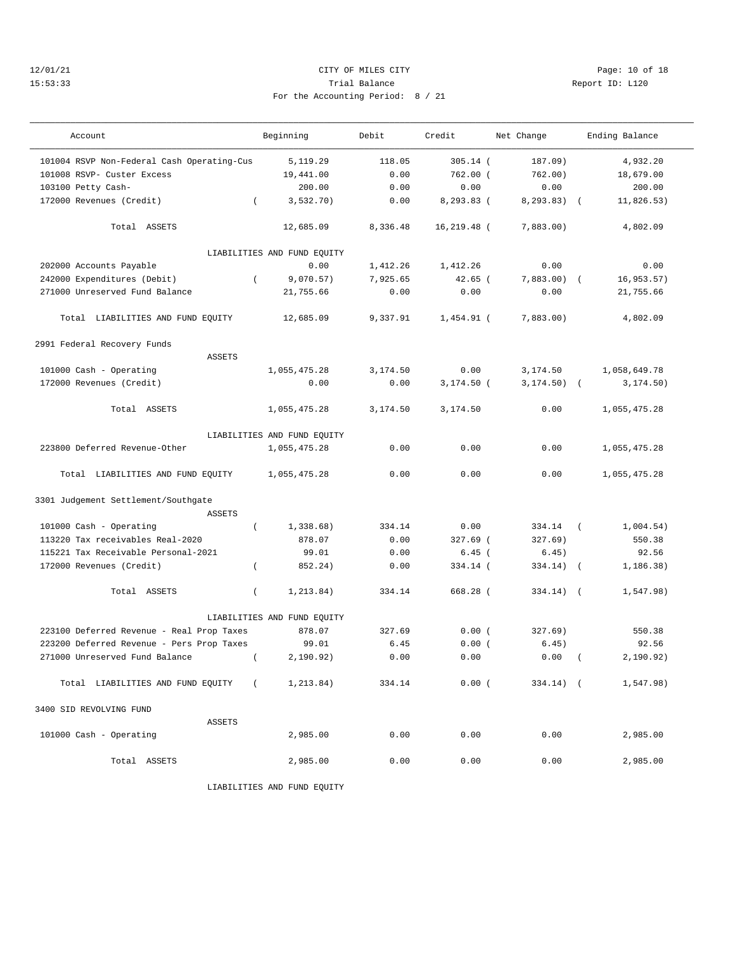## 12/01/21 **CITY OF MILES CITY CITY CITY Page: 10 of 18** 15:53:33 Trial Balance Report ID: L120 For the Accounting Period: 8 / 21

| Account                                              | Beginning                   | Debit    | Credit         | Net Change     | Ending Balance           |
|------------------------------------------------------|-----------------------------|----------|----------------|----------------|--------------------------|
| 101004 RSVP Non-Federal Cash Operating-Cus           | 5,119.29                    | 118.05   | $305.14$ (     | 187.09)        | 4,932.20                 |
| 101008 RSVP- Custer Excess                           | 19,441.00                   | 0.00     | $762.00$ (     | 762.00)        | 18,679.00                |
| 103100 Petty Cash-                                   | 200.00                      | 0.00     | 0.00           | 0.00           | 200.00                   |
| 172000 Revenues (Credit)<br>$\left($                 | 3, 532.70)                  | 0.00     | 8,293.83 (     | $8, 293.83)$ ( | 11,826.53)               |
| Total ASSETS                                         | 12,685.09                   | 8,336.48 | $16, 219.48$ ( | 7,883.00)      | 4,802.09                 |
|                                                      | LIABILITIES AND FUND EQUITY |          |                |                |                          |
| 202000 Accounts Payable                              | 0.00                        | 1,412.26 | 1,412.26       | 0.00           | 0.00                     |
| 242000 Expenditures (Debit)<br>$\left($              | 9,070.57)                   | 7,925.65 | $42.65$ (      | $7,883.00$ (   | 16, 953.57)              |
| 271000 Unreserved Fund Balance                       | 21,755.66                   | 0.00     | 0.00           | 0.00           | 21,755.66                |
| Total LIABILITIES AND FUND EQUITY                    | 12,685.09                   | 9,337.91 | 1,454.91 (     | 7,883.00)      | 4,802.09                 |
| 2991 Federal Recovery Funds                          |                             |          |                |                |                          |
| <b>ASSETS</b>                                        |                             |          |                |                |                          |
| 101000 Cash - Operating                              | 1,055,475.28                | 3,174.50 | 0.00           | 3,174.50       | 1,058,649.78             |
| 172000 Revenues (Credit)                             | 0.00                        | 0.00     | $3,174.50$ (   | $3, 174.50$ (  | 3, 174.50)               |
| Total ASSETS                                         | 1,055,475.28                | 3,174.50 | 3,174.50       | 0.00           | 1,055,475.28             |
|                                                      | LIABILITIES AND FUND EQUITY |          |                |                |                          |
| 223800 Deferred Revenue-Other                        | 1,055,475.28                | 0.00     | 0.00           | 0.00           | 1,055,475.28             |
| Total LIABILITIES AND FUND EQUITY                    | 1,055,475.28                | 0.00     | 0.00           | 0.00           | 1,055,475.28             |
| 3301 Judgement Settlement/Southgate<br><b>ASSETS</b> |                             |          |                |                |                          |
| 101000 Cash - Operating<br>$\left($                  | 1,338.68)                   | 334.14   | 0.00           | 334.14         | 1,004.54)<br>$\left($    |
| 113220 Tax receivables Real-2020                     | 878.07                      | 0.00     | 327.69 (       | 327.69)        | 550.38                   |
| 115221 Tax Receivable Personal-2021                  | 99.01                       | 0.00     | $6.45$ (       | 6.45)          | 92.56                    |
| 172000 Revenues (Credit)<br>$\left($                 | 852.24)                     | 0.00     | 334.14 (       | 334.14)        | 1, 186.38)<br>$\sqrt{2}$ |
| Total ASSETS<br>$\overline{ }$                       | 1, 213.84)                  | 334.14   | 668.28 (       | $334.14)$ (    | 1,547.98)                |
|                                                      | LIABILITIES AND FUND EQUITY |          |                |                |                          |
| 223100 Deferred Revenue - Real Prop Taxes            | 878.07                      | 327.69   | 0.00(          | 327.69)        | 550.38                   |
| 223200 Deferred Revenue - Pers Prop Taxes            | 99.01                       | 6.45     | 0.00(          | 6.45)          | 92.56                    |
| 271000 Unreserved Fund Balance<br>$\left($           | 2,190.92)                   | 0.00     | 0.00           | 0.00           | 2, 190.92)               |
| Total LIABILITIES AND FUND EQUITY<br>$\sqrt{2}$      | 1,213.84)                   | 334.14   | 0.00(          | $334.14)$ (    | 1,547.98)                |
| 3400 SID REVOLVING FUND                              |                             |          |                |                |                          |
| <b>ASSETS</b>                                        |                             |          |                |                |                          |
| 101000 Cash - Operating                              | 2,985.00                    | 0.00     | 0.00           | 0.00           | 2,985.00                 |
| Total ASSETS                                         | 2,985.00                    | 0.00     | 0.00           | 0.00           | 2,985.00                 |

LIABILITIES AND FUND EQUITY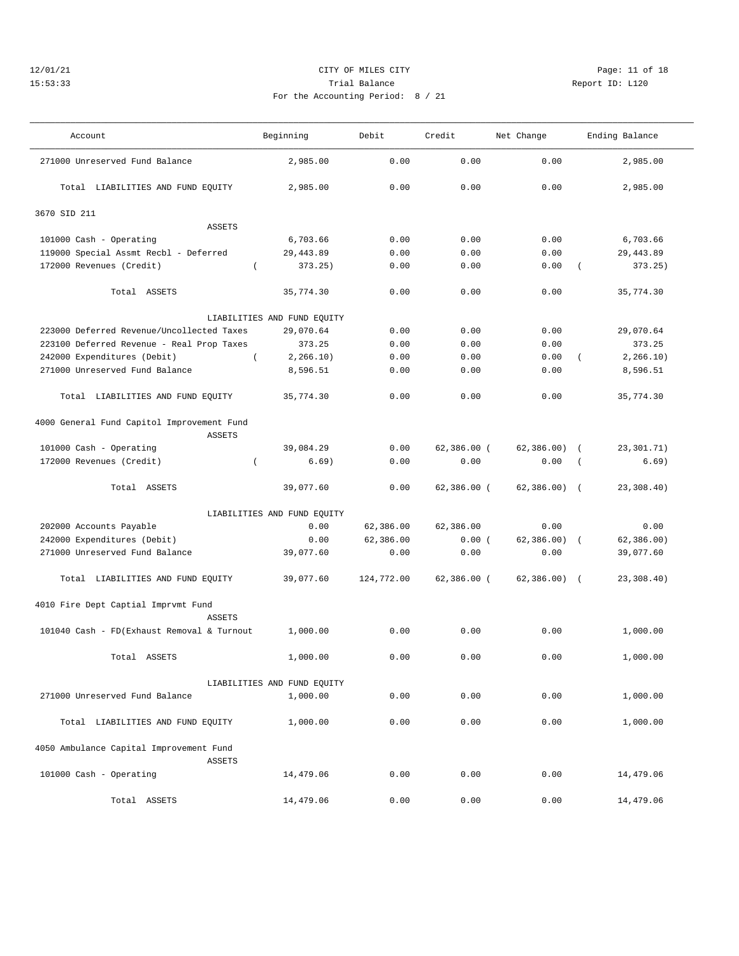## 12/01/21 **CITY OF MILES CITY CITY CITY Page: 11 of 18** 15:53:33 Trial Balance Report ID: L120 For the Accounting Period: 8 / 21

| Account                                                  | Beginning                   | Debit      | Credit        | Net Change    | Ending Balance            |
|----------------------------------------------------------|-----------------------------|------------|---------------|---------------|---------------------------|
| 271000 Unreserved Fund Balance                           | 2,985.00                    | 0.00       | 0.00          | 0.00          | 2,985.00                  |
| Total LIABILITIES AND FUND EQUITY                        | 2,985.00                    | 0.00       | 0.00          | 0.00          | 2,985.00                  |
| 3670 SID 211                                             |                             |            |               |               |                           |
| ASSETS                                                   |                             |            |               |               |                           |
| 101000 Cash - Operating                                  | 6,703.66                    | 0.00       | 0.00          | 0.00          | 6,703.66                  |
| 119000 Special Assmt Recbl - Deferred                    | 29, 443.89                  | 0.00       | 0.00          | 0.00          | 29, 443.89                |
| 172000 Revenues (Credit)                                 | 373.25)<br>$\left($         | 0.00       | 0.00          | 0.00          | 373.25)<br>$\left($       |
| Total ASSETS                                             | 35,774.30                   | 0.00       | 0.00          | 0.00          | 35,774.30                 |
|                                                          | LIABILITIES AND FUND EQUITY |            |               |               |                           |
| 223000 Deferred Revenue/Uncollected Taxes                | 29,070.64                   | 0.00       | 0.00          | 0.00          | 29,070.64                 |
| 223100 Deferred Revenue - Real Prop Taxes                | 373.25                      | 0.00       | 0.00          | 0.00          | 373.25                    |
| 242000 Expenditures (Debit)                              | $\left($<br>2, 266.10)      | 0.00       | 0.00          | 0.00          | 2, 266.10)<br>$\left($    |
| 271000 Unreserved Fund Balance                           | 8,596.51                    | 0.00       | 0.00          | 0.00          | 8,596.51                  |
| Total LIABILITIES AND FUND EQUITY                        | 35,774.30                   | 0.00       | 0.00          | 0.00          | 35,774.30                 |
| 4000 General Fund Capitol Improvement Fund<br>ASSETS     |                             |            |               |               |                           |
| 101000 Cash - Operating                                  | 39,084.29                   | 0.00       | $62,386.00$ ( | 62, 386.00    | 23,301.71)<br>$\left($    |
| 172000 Revenues (Credit)                                 | 6.69)<br>$\left($           | 0.00       | 0.00          | 0.00          | 6.69)<br>$\overline{(\ }$ |
|                                                          |                             |            |               |               |                           |
| Total ASSETS                                             | 39,077.60                   | 0.00       | $62,386.00$ ( | $62,386.00$ ( | 23,308.40)                |
|                                                          | LIABILITIES AND FUND EQUITY |            |               |               |                           |
| 202000 Accounts Payable                                  | 0.00                        | 62,386.00  | 62,386.00     | 0.00          | 0.00                      |
| 242000 Expenditures (Debit)                              | 0.00                        | 62,386.00  | 0.00(         | 62,386.00)    | 62, 386.00)<br>$\sqrt{2}$ |
| 271000 Unreserved Fund Balance                           | 39,077.60                   | 0.00       | 0.00          | 0.00          | 39,077.60                 |
| Total LIABILITIES AND FUND EQUITY                        | 39,077.60                   | 124,772.00 | $62,386.00$ ( | $62,386.00$ ( | 23,308.40)                |
| 4010 Fire Dept Captial Imprvmt Fund<br><b>ASSETS</b>     |                             |            |               |               |                           |
| 101040 Cash - FD(Exhaust Removal & Turnout               | 1,000.00                    | 0.00       | 0.00          | 0.00          | 1,000.00                  |
| Total ASSETS                                             | 1,000.00                    | 0.00       | 0.00          | 0.00          | 1,000.00                  |
|                                                          | LIABILITIES AND FUND EQUITY |            |               |               |                           |
| 271000 Unreserved Fund Balance                           | 1,000.00                    | 0.00       | 0.00          | 0.00          | 1,000.00                  |
| Total LIABILITIES AND FUND EQUITY                        | 1,000.00                    | 0.00       | 0.00          | 0.00          | 1,000.00                  |
| 4050 Ambulance Capital Improvement Fund<br><b>ASSETS</b> |                             |            |               |               |                           |
| 101000 Cash - Operating                                  | 14,479.06                   | 0.00       | 0.00          | 0.00          | 14,479.06                 |
| Total ASSETS                                             | 14,479.06                   | 0.00       | 0.00          | 0.00          | 14,479.06                 |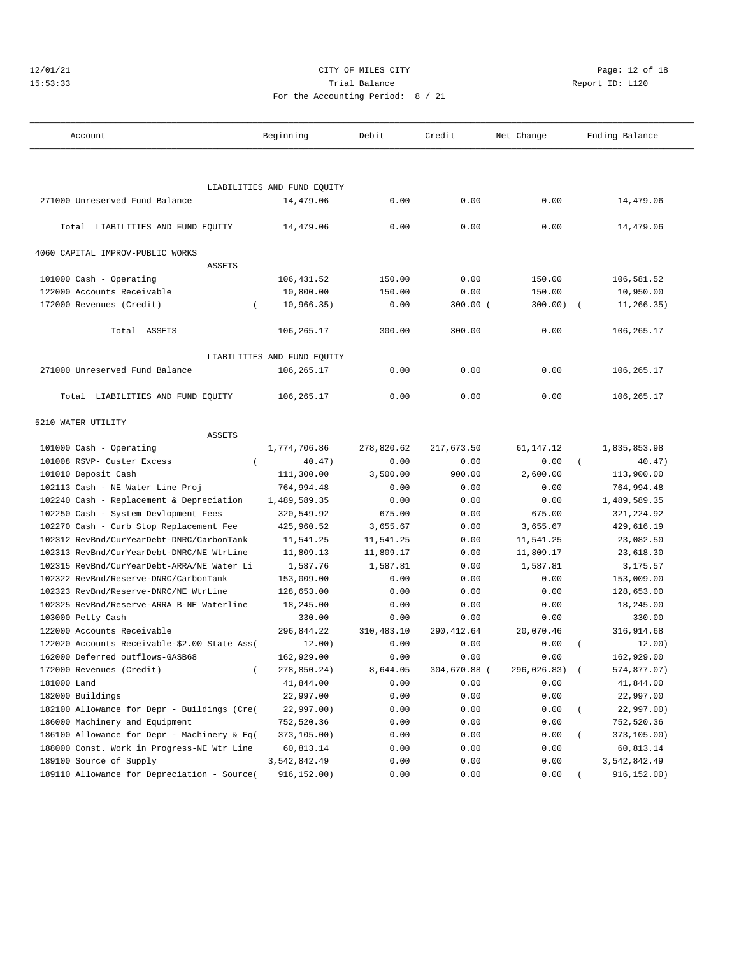## 12/01/21 Page: 12 of 18 15:53:33 Trial Balance Report ID: L120 For the Accounting Period: 8 / 21

| Account                                      |          | Beginning                   | Debit      | Credit<br>Net Change |               | Ending Balance |              |  |
|----------------------------------------------|----------|-----------------------------|------------|----------------------|---------------|----------------|--------------|--|
|                                              |          |                             |            |                      |               |                |              |  |
|                                              |          | LIABILITIES AND FUND EQUITY |            |                      |               |                |              |  |
| 271000 Unreserved Fund Balance               |          | 14,479.06                   | 0.00       | 0.00                 | 0.00          |                | 14,479.06    |  |
| Total LIABILITIES AND FUND EQUITY            |          | 14,479.06                   | 0.00       | 0.00                 | 0.00          |                | 14,479.06    |  |
| 4060 CAPITAL IMPROV-PUBLIC WORKS             |          |                             |            |                      |               |                |              |  |
| <b>ASSETS</b>                                |          |                             |            |                      |               |                |              |  |
| 101000 Cash - Operating                      |          | 106,431.52                  | 150.00     | 0.00                 | 150.00        |                | 106,581.52   |  |
| 122000 Accounts Receivable                   |          | 10,800.00                   | 150.00     | 0.00                 | 150.00        |                | 10,950.00    |  |
| 172000 Revenues (Credit)                     |          | 10, 966.35)                 | 0.00       | $300.00$ (           | 300.00)       |                | 11,266.35)   |  |
| Total ASSETS                                 |          | 106,265.17                  | 300.00     | 300.00               | 0.00          |                | 106,265.17   |  |
|                                              |          | LIABILITIES AND FUND EQUITY |            |                      |               |                |              |  |
| 271000 Unreserved Fund Balance               |          | 106,265.17                  | 0.00       | 0.00                 | 0.00          |                | 106,265.17   |  |
| Total LIABILITIES AND FUND EQUITY            |          | 106, 265.17                 | 0.00       | 0.00                 | 0.00          |                | 106,265.17   |  |
| 5210 WATER UTILITY                           |          |                             |            |                      |               |                |              |  |
| <b>ASSETS</b>                                |          |                             |            |                      |               |                |              |  |
| 101000 Cash - Operating                      |          | 1,774,706.86                | 278,820.62 | 217,673.50           | 61, 147. 12   |                | 1,835,853.98 |  |
| 101008 RSVP- Custer Excess                   | $\left($ | 40.47)                      | 0.00       | 0.00                 | 0.00          | $\left($       | 40.47)       |  |
| 101010 Deposit Cash                          |          | 111,300.00                  | 3,500.00   | 900.00               | 2,600.00      |                | 113,900.00   |  |
| 102113 Cash - NE Water Line Proj             |          | 764,994.48                  | 0.00       | 0.00                 | 0.00          |                | 764,994.48   |  |
| 102240 Cash - Replacement & Depreciation     |          | 1,489,589.35                | 0.00       | 0.00                 | 0.00          |                | 1,489,589.35 |  |
| 102250 Cash - System Devlopment Fees         |          | 320,549.92                  | 675.00     | 0.00                 | 675.00        |                | 321,224.92   |  |
| 102270 Cash - Curb Stop Replacement Fee      |          | 425,960.52                  | 3,655.67   | 0.00                 | 3,655.67      |                | 429,616.19   |  |
| 102312 RevBnd/CurYearDebt-DNRC/CarbonTank    |          | 11,541.25                   | 11,541.25  | 0.00                 | 11,541.25     |                | 23,082.50    |  |
| 102313 RevBnd/CurYearDebt-DNRC/NE WtrLine    |          | 11,809.13                   | 11,809.17  | 0.00                 | 11,809.17     |                | 23,618.30    |  |
| 102315 RevBnd/CurYearDebt-ARRA/NE Water Li   |          | 1,587.76                    | 1,587.81   | 0.00                 | 1,587.81      |                | 3,175.57     |  |
| 102322 RevBnd/Reserve-DNRC/CarbonTank        |          | 153,009.00                  | 0.00       | 0.00                 | 0.00          |                | 153,009.00   |  |
| 102323 RevBnd/Reserve-DNRC/NE WtrLine        |          | 128,653.00                  | 0.00       | 0.00                 | 0.00          |                | 128,653.00   |  |
| 102325 RevBnd/Reserve-ARRA B-NE Waterline    |          | 18,245.00                   | 0.00       | 0.00                 | 0.00          |                | 18,245.00    |  |
| 103000 Petty Cash                            |          | 330.00                      | 0.00       | 0.00                 | 0.00          |                | 330.00       |  |
| 122000 Accounts Receivable                   |          | 296,844.22                  | 310,483.10 | 290, 412.64          | 20,070.46     |                | 316,914.68   |  |
| 122020 Accounts Receivable-\$2.00 State Ass( |          | 12.00)                      | 0.00       | 0.00                 | 0.00          |                | 12.00)       |  |
| 162000 Deferred outflows-GASB68              |          | 162,929.00                  | 0.00       | 0.00                 | 0.00          |                | 162,929.00   |  |
| 172000 Revenues (Credit)                     | $\left($ | 278,850.24)                 | 8,644.05   | 304,670.88 (         | 296,026.83) ( |                | 574,877.07)  |  |
| 181000 Land                                  |          | 41,844.00                   | 0.00       | 0.00                 | 0.00          |                | 41,844.00    |  |
| 182000 Buildings                             |          | 22,997.00                   | 0.00       | 0.00                 | 0.00          |                | 22,997.00    |  |
| 182100 Allowance for Depr - Buildings (Cre(  |          | 22,997.00)                  | 0.00       | 0.00                 | 0.00          |                | 22,997.00)   |  |
| 186000 Machinery and Equipment               |          | 752,520.36                  | 0.00       | 0.00                 | 0.00          |                | 752,520.36   |  |
| 186100 Allowance for Depr - Machinery & Eq(  |          | 373,105.00)                 | 0.00       | 0.00                 | 0.00          |                | 373,105.00)  |  |
| 188000 Const. Work in Progress-NE Wtr Line   |          | 60,813.14                   | 0.00       | 0.00                 | 0.00          |                | 60,813.14    |  |
| 189100 Source of Supply                      |          | 3,542,842.49                | 0.00       | 0.00                 | 0.00          |                | 3,542,842.49 |  |
| 189110 Allowance for Depreciation - Source(  |          | 916,152.00)                 | 0.00       | 0.00                 | 0.00          |                | 916,152.00)  |  |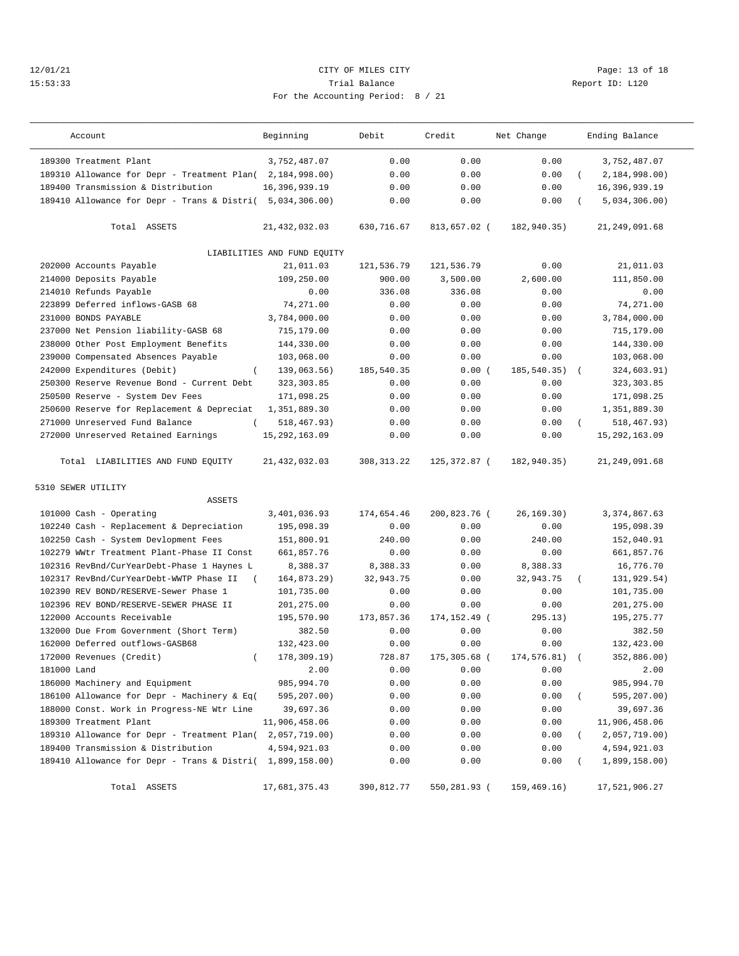## 12/01/21 Page: 13 of 18 15:53:33 Trial Balance Report ID: L120 For the Accounting Period: 8 / 21

| Account                                                   | Beginning                   | Debit       | Credit         | Net Change    | Ending Balance          |        |
|-----------------------------------------------------------|-----------------------------|-------------|----------------|---------------|-------------------------|--------|
| 189300 Treatment Plant                                    | 3,752,487.07                | 0.00        | 0.00           | 0.00          | 3,752,487.07            |        |
| 189310 Allowance for Depr - Treatment Plan(2,184,998.00)  |                             | 0.00        | 0.00           | 0.00          | 2,184,998.00            |        |
| 189400 Transmission & Distribution                        | 16,396,939.19               | 0.00        | 0.00           | 0.00          | 16,396,939.19           |        |
| 189410 Allowance for Depr - Trans & Distri( 5,034,306.00) |                             | 0.00        | 0.00           | 0.00          | 5,034,306.00            |        |
| Total ASSETS                                              | 21, 432, 032.03             | 630,716.67  | 813,657.02 (   | 182,940.35)   | 21, 249, 091.68         |        |
|                                                           |                             |             |                |               |                         |        |
|                                                           | LIABILITIES AND FUND EQUITY |             |                |               |                         |        |
| 202000 Accounts Payable                                   | 21,011.03                   | 121,536.79  | 121,536.79     | 0.00          | 21,011.03               |        |
| 214000 Deposits Payable                                   | 109,250.00                  | 900.00      | 3,500.00       | 2,600.00      | 111,850.00              |        |
| 214010 Refunds Payable                                    | 0.00                        | 336.08      | 336.08         | 0.00          |                         | 0.00   |
| 223899 Deferred inflows-GASB 68                           | 74,271.00                   | 0.00        | 0.00           | 0.00          | 74,271.00               |        |
| 231000 BONDS PAYABLE                                      | 3,784,000.00                | 0.00        | 0.00           | 0.00          | 3,784,000.00            |        |
| 237000 Net Pension liability-GASB 68                      | 715,179.00                  | 0.00        | 0.00           | 0.00          | 715,179.00              |        |
| 238000 Other Post Employment Benefits                     | 144,330.00                  | 0.00        | 0.00           | 0.00          | 144,330.00              |        |
| 239000 Compensated Absences Payable                       | 103,068.00                  | 0.00        | 0.00           | 0.00          | 103,068.00              |        |
| 242000 Expenditures (Debit)<br>$\left($                   | 139,063.56)                 | 185,540.35  | 0.00(          | 185, 540. 35) | 324,603.91)             |        |
| 250300 Reserve Revenue Bond - Current Debt                | 323, 303.85                 | 0.00        | 0.00           | 0.00          | 323, 303.85             |        |
| 250500 Reserve - System Dev Fees                          | 171,098.25                  | 0.00        | 0.00           | 0.00          | 171,098.25              |        |
| 250600 Reserve for Replacement & Depreciat                | 1,351,889.30                | 0.00        | 0.00           | 0.00          | 1,351,889.30            |        |
| 271000 Unreserved Fund Balance<br>$\left($                | 518,467.93)                 | 0.00        | 0.00           | 0.00          | 518,467.93)<br>$\left($ |        |
| 272000 Unreserved Retained Earnings                       | 15, 292, 163.09             | 0.00        | 0.00           | 0.00          | 15, 292, 163.09         |        |
| Total LIABILITIES AND FUND EQUITY                         | 21, 432, 032.03             | 308, 313.22 | 125,372.87 (   | 182,940.35)   | 21, 249, 091.68         |        |
| 5310 SEWER UTILITY                                        |                             |             |                |               |                         |        |
| <b>ASSETS</b>                                             |                             |             |                |               |                         |        |
| 101000 Cash - Operating                                   | 3,401,036.93                | 174,654.46  | 200,823.76 (   | 26, 169.30)   | 3, 374, 867.63          |        |
| 102240 Cash - Replacement & Depreciation                  | 195,098.39                  | 0.00        | 0.00           | 0.00          | 195,098.39              |        |
| 102250 Cash - System Devlopment Fees                      | 151,800.91                  | 240.00      | 0.00           | 240.00        | 152,040.91              |        |
| 102279 WWtr Treatment Plant-Phase II Const                | 661,857.76                  | 0.00        | 0.00           | 0.00          | 661,857.76              |        |
| 102316 RevBnd/CurYearDebt-Phase 1 Haynes L                | 8,388.37                    | 8,388.33    | 0.00           | 8,388.33      | 16,776.70               |        |
| 102317 RevBnd/CurYearDebt-WWTP Phase II                   | 164,873.29)                 | 32,943.75   | 0.00           | 32,943.75     | 131,929.54)             |        |
| 102390 REV BOND/RESERVE-Sewer Phase 1                     | 101,735.00                  | 0.00        | 0.00           | 0.00          | 101,735.00              |        |
| 102396 REV BOND/RESERVE-SEWER PHASE II                    | 201,275.00                  | 0.00        | 0.00           | 0.00          | 201,275.00              |        |
| 122000 Accounts Receivable                                | 195,570.90                  | 173,857.36  | 174, 152. 49 ( | 295.13)       | 195, 275. 77            |        |
| 132000 Due From Government (Short Term)                   | 382.50                      | 0.00        | 0.00           | 0.00          |                         | 382.50 |
| 162000 Deferred outflows-GASB68                           | 132,423.00                  | 0.00        | 0.00           | 0.00          | 132,423.00              |        |
| 172000 Revenues (Credit)<br>$\left($                      | 178,309.19)                 | 728.87      | 175,305.68 (   | 174,576.81)   | 352,886.00)             |        |
| 181000 Land                                               | 2.00                        | 0.00        | 0.00           | 0.00          |                         | 2.00   |
| 186000 Machinery and Equipment                            | 985,994.70                  | 0.00        | 0.00           | 0.00          | 985,994.70              |        |
| 186100 Allowance for Depr - Machinery & Eq(               | 595,207.00)                 | 0.00        | 0.00           | 0.00          | 595,207.00)             |        |
| 188000 Const. Work in Progress-NE Wtr Line                | 39,697.36                   | 0.00        | 0.00           | 0.00          | 39,697.36               |        |
| 189300 Treatment Plant                                    | 11,906,458.06               | 0.00        | 0.00           | 0.00          | 11,906,458.06           |        |
| 189310 Allowance for Depr - Treatment Plan( 2,057,719.00) |                             | 0.00        | 0.00           | 0.00          | 2,057,719.00)           |        |
| 189400 Transmission & Distribution                        | 4,594,921.03                | 0.00        | 0.00           | 0.00          | 4,594,921.03            |        |
| 189410 Allowance for Depr - Trans & Distri(               | 1,899,158.00)               | 0.00        | 0.00           | 0.00          | 1,899,158.00)           |        |
|                                                           |                             |             |                |               |                         |        |
| Total ASSETS                                              | 17,681,375.43               | 390,812.77  | 550,281.93 (   | 159,469.16)   | 17,521,906.27           |        |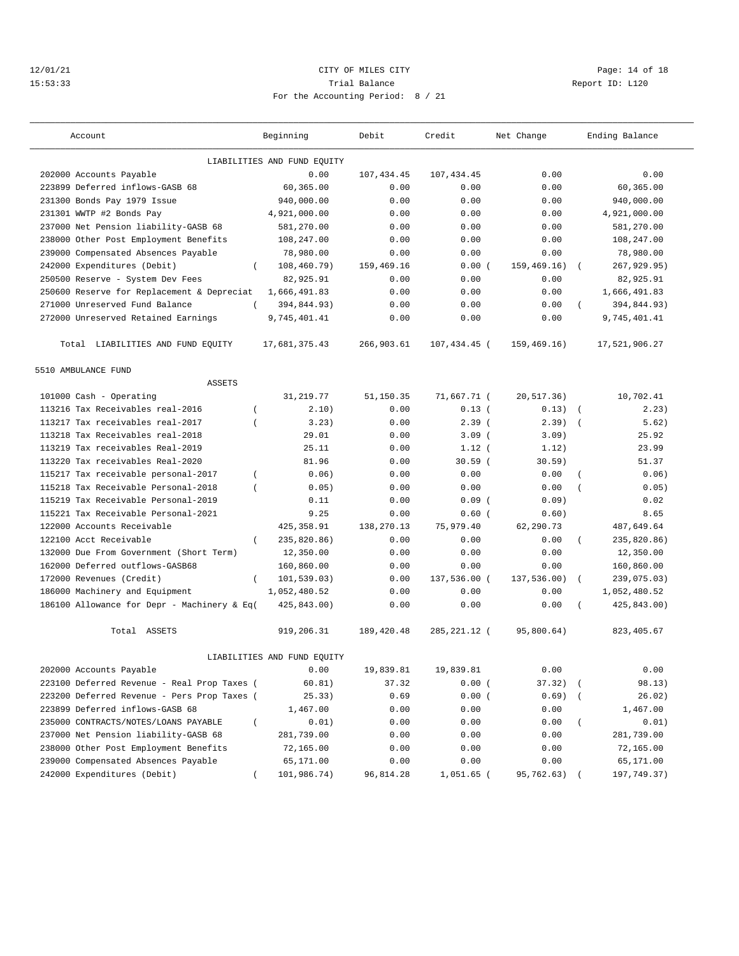## 12/01/21 Page: 14 of 18 15:53:33 Trial Balance Report ID: L120 For the Accounting Period: 8 / 21

| Account                                                 | Beginning                   | Debit      | Credit         | Net Change   |            | Ending Balance |
|---------------------------------------------------------|-----------------------------|------------|----------------|--------------|------------|----------------|
|                                                         | LIABILITIES AND FUND EQUITY |            |                |              |            |                |
| 202000 Accounts Payable                                 | 0.00                        | 107,434.45 | 107, 434.45    | 0.00         |            | 0.00           |
| 223899 Deferred inflows-GASB 68                         | 60,365.00                   | 0.00       | 0.00           | 0.00         |            | 60,365.00      |
| 231300 Bonds Pay 1979 Issue                             | 940,000.00                  | 0.00       | 0.00           | 0.00         |            | 940,000.00     |
| 231301 WWTP #2 Bonds Pay                                | 4,921,000.00                | 0.00       | 0.00           | 0.00         |            | 4,921,000.00   |
| 237000 Net Pension liability-GASB 68                    | 581,270.00                  | 0.00       | 0.00           | 0.00         |            | 581,270.00     |
| 238000 Other Post Employment Benefits                   | 108,247.00                  | 0.00       | 0.00           | 0.00         |            | 108,247.00     |
| 239000 Compensated Absences Payable                     | 78,980.00                   | 0.00       | 0.00           | 0.00         |            | 78,980.00      |
| 242000 Expenditures (Debit)<br>$\left($                 | 108,460.79)                 | 159,469.16 | 0.00(          | 159.469.16   | $\sqrt{2}$ | 267,929.95)    |
| 250500 Reserve - System Dev Fees                        | 82,925.91                   | 0.00       | 0.00           | 0.00         |            | 82,925.91      |
| 250600 Reserve for Replacement & Depreciat              | 1,666,491.83                | 0.00       | 0.00           | 0.00         |            | 1,666,491.83   |
| 271000 Unreserved Fund Balance<br>$\left($              | 394,844.93)                 | 0.00       | 0.00           | 0.00         | $\left($   | 394,844.93)    |
| 272000 Unreserved Retained Earnings                     | 9,745,401.41                | 0.00       | 0.00           | 0.00         |            | 9,745,401.41   |
|                                                         |                             |            |                |              |            |                |
| Total LIABILITIES AND FUND EQUITY                       | 17,681,375.43               | 266,903.61 | 107,434.45 (   | 159, 469.16) |            | 17,521,906.27  |
| 5510 AMBULANCE FUND                                     |                             |            |                |              |            |                |
| <b>ASSETS</b>                                           |                             |            |                |              |            |                |
| 101000 Cash - Operating                                 | 31, 219.77                  | 51,150.35  | 71,667.71 (    | 20,517.36)   |            | 10,702.41      |
| 113216 Tax Receivables real-2016<br>$\overline{ }$      | 2.10)                       | 0.00       | 0.13(          | 0.13)        | $\sqrt{ }$ | 2.23)          |
| 113217 Tax receivables real-2017<br>$\overline{ }$      | 3.23)                       | 0.00       | 2.39(          | 2.39)        | $\sqrt{ }$ | 5.62)          |
| 113218 Tax Receivables real-2018                        | 29.01                       | 0.00       | 3.09(          | 3.09)        |            | 25.92          |
| 113219 Tax receivables Real-2019                        | 25.11                       | 0.00       | $1.12$ (       | 1.12         |            | 23.99          |
| 113220 Tax receivables Real-2020                        | 81.96                       | 0.00       | 30.59(         | $30.59$ )    |            | 51.37          |
| 115217 Tax receivable personal-2017<br>$\left($         | 0.06)                       | 0.00       | 0.00           | 0.00         | $\left($   | 0.06)          |
| 115218 Tax Receivable Personal-2018<br>$\overline{(\ }$ | 0.05)                       | 0.00       | 0.00           | 0.00         | $\left($   | 0.05)          |
| 115219 Tax Receivable Personal-2019                     | 0.11                        | 0.00       | 0.09(          | 0.09)        |            | 0.02           |
| 115221 Tax Receivable Personal-2021                     | 9.25                        | 0.00       | 0.60(          | 0.60)        |            | 8.65           |
| 122000 Accounts Receivable                              | 425, 358.91                 | 138,270.13 | 75,979.40      | 62,290.73    |            | 487,649.64     |
| 122100 Acct Receivable<br>$\left($                      | 235,820.86)                 | 0.00       | 0.00           | 0.00         | $\left($   | 235,820.86)    |
| 132000 Due From Government (Short Term)                 | 12,350.00                   | 0.00       | 0.00           | 0.00         |            | 12,350.00      |
| 162000 Deferred outflows-GASB68                         | 160,860.00                  | 0.00       | 0.00           | 0.00         |            | 160,860.00     |
| 172000 Revenues (Credit)<br>$\left($                    | 101,539.03)                 | 0.00       | 137,536.00 (   | 137,536.00)  | $\left($   | 239,075.03)    |
| 186000 Machinery and Equipment                          | 1,052,480.52                | 0.00       | 0.00           | 0.00         |            | 1,052,480.52   |
| 186100 Allowance for Depr - Machinery & Eq(             | 425,843.00)                 | 0.00       | 0.00           | 0.00         |            | 425,843.00)    |
| Total ASSETS                                            | 919,206.31                  | 189,420.48 | 285, 221. 12 ( | 95,800.64)   |            | 823, 405.67    |
|                                                         | LIABILITIES AND FUND EQUITY |            |                |              |            |                |
| 202000 Accounts Payable                                 | 0.00                        | 19,839.81  | 19,839.81      | 0.00         |            | 0.00           |
| 223100 Deferred Revenue - Real Prop Taxes (             | 60.81)                      | 37.32      | 0.00(          | 37.32)       |            | 98.13)         |
| 223200 Deferred Revenue - Pers Prop Taxes (             | 25.33)                      | 0.69       | 0.00(          | 0.69)        |            | 26.02)         |
| 223899 Deferred inflows-GASB 68                         | 1,467.00                    | 0.00       | 0.00           | 0.00         |            | 1,467.00       |
| 235000 CONTRACTS/NOTES/LOANS PAYABLE<br>$\left($        | 0.01)                       | 0.00       | 0.00           | 0.00         | $\left($   | 0.01)          |
| 237000 Net Pension liability-GASB 68                    | 281,739.00                  | 0.00       | 0.00           | 0.00         |            | 281,739.00     |
| 238000 Other Post Employment Benefits                   | 72,165.00                   | 0.00       | 0.00           | 0.00         |            | 72,165.00      |
| 239000 Compensated Absences Payable                     | 65,171.00                   | 0.00       | 0.00           | 0.00         |            | 65,171.00      |
| 242000 Expenditures (Debit)                             | 101,986.74)                 | 96,814.28  | 1,051.65       | 95,762.63)   |            | 197,749.37)    |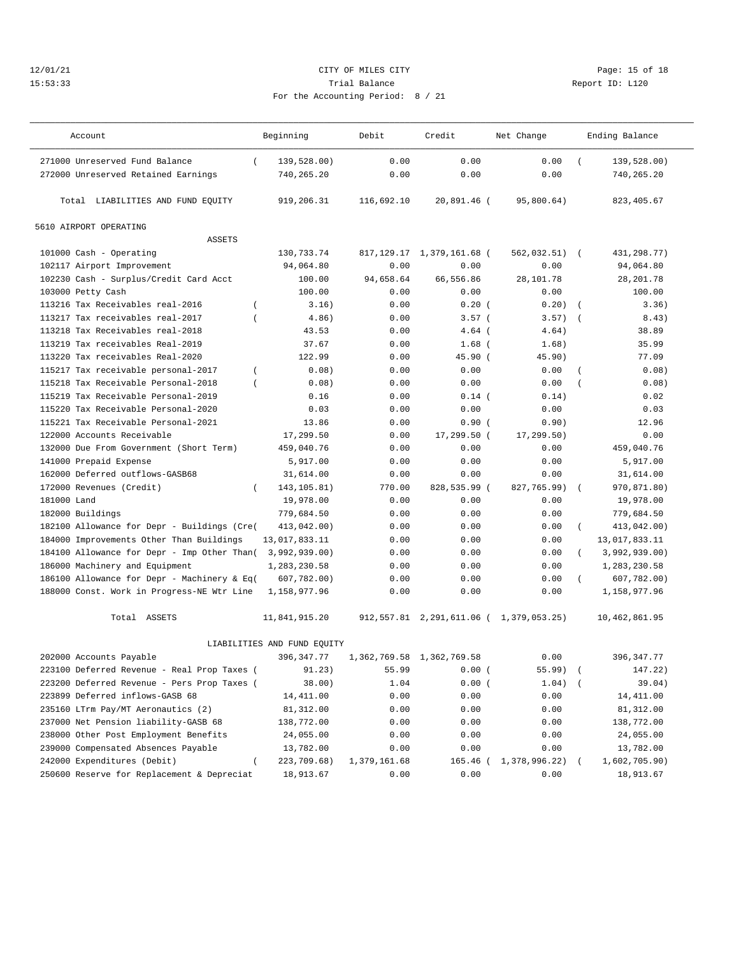## 12/01/21 **CITY OF MILES CITY CITY CITY Page: 15 of 18** 15:53:33 Trial Balance Report ID: L120 For the Accounting Period: 8 / 21

| Account                                               | Beginning                   | Debit        | Credit                         | Net Change                       |          | Ending Balance |
|-------------------------------------------------------|-----------------------------|--------------|--------------------------------|----------------------------------|----------|----------------|
| 271000 Unreserved Fund Balance<br>$\left($            | 139,528.00)                 | 0.00         | 0.00                           | 0.00                             |          | 139,528.00)    |
| 272000 Unreserved Retained Earnings                   | 740,265.20                  | 0.00         | 0.00                           | 0.00                             |          | 740,265.20     |
| Total LIABILITIES AND FUND EQUITY                     | 919,206.31                  | 116,692.10   | 20,891.46 (                    | 95,800.64)                       |          | 823, 405.67    |
| 5610 AIRPORT OPERATING                                |                             |              |                                |                                  |          |                |
| <b>ASSETS</b>                                         |                             |              |                                |                                  |          |                |
| 101000 Cash - Operating                               | 130,733.74                  |              | 817, 129. 17 1, 379, 161. 68 ( | 562,032.51)                      | $\left($ | 431,298.77)    |
| 102117 Airport Improvement                            | 94,064.80                   | 0.00         | 0.00                           | 0.00                             |          | 94,064.80      |
| 102230 Cash - Surplus/Credit Card Acct                | 100.00                      | 94,658.64    | 66,556.86                      | 28,101.78                        |          | 28, 201.78     |
| 103000 Petty Cash                                     | 100.00                      | 0.00         | 0.00                           | 0.00                             |          | 100.00         |
| 113216 Tax Receivables real-2016<br>$\overline{ }$    | 3.16)                       | 0.00         | 0.20(                          | 0.20)                            |          | 3.36)          |
| 113217 Tax receivables real-2017                      | 4.86)                       | 0.00         | 3.57(                          | 3.57)                            | $\left($ | 8.43)          |
| 113218 Tax Receivables real-2018                      | 43.53                       | 0.00         | $4.64$ (                       | 4.64)                            |          | 38.89          |
| 113219 Tax receivables Real-2019                      | 37.67                       | 0.00         | $1.68$ (                       | 1.68)                            |          | 35.99          |
| 113220 Tax receivables Real-2020                      | 122.99                      | 0.00         | 45.90 (                        | 45.90)                           |          | 77.09          |
| 115217 Tax receivable personal-2017<br>$\overline{ }$ | 0.08)                       | 0.00         | 0.00                           | 0.00                             |          | 0.08)          |
| 115218 Tax Receivable Personal-2018<br>$\overline{ }$ | 0.08)                       | 0.00         | 0.00                           | 0.00                             |          | 0.08)          |
| 115219 Tax Receivable Personal-2019                   | 0.16                        | 0.00         | $0.14$ (                       | 0.14)                            |          | 0.02           |
| 115220 Tax Receivable Personal-2020                   | 0.03                        | 0.00         | 0.00                           | 0.00                             |          | 0.03           |
| 115221 Tax Receivable Personal-2021                   | 13.86                       | 0.00         | 0.90(                          | 0.90)                            |          | 12.96          |
| 122000 Accounts Receivable                            | 17,299.50                   | 0.00         | 17,299.50 (                    | 17, 299.50)                      |          | 0.00           |
| 132000 Due From Government (Short Term)               | 459,040.76                  | 0.00         | 0.00                           | 0.00                             |          | 459,040.76     |
| 141000 Prepaid Expense                                | 5,917.00                    | 0.00         | 0.00                           | 0.00                             |          | 5,917.00       |
| 162000 Deferred outflows-GASB68                       | 31,614.00                   | 0.00         | 0.00                           | 0.00                             |          | 31,614.00      |
| 172000 Revenues (Credit)<br>$\overline{ }$            | 143, 105.81)                | 770.00       | 828,535.99 (                   | 827,765.99)                      | $\left($ | 970,871.80)    |
| 181000 Land                                           | 19,978.00                   | 0.00         | 0.00                           | 0.00                             |          | 19,978.00      |
| 182000 Buildings                                      | 779,684.50                  | 0.00         | 0.00                           | 0.00                             |          | 779,684.50     |
| 182100 Allowance for Depr - Buildings (Cre(           | 413,042.00)                 | 0.00         | 0.00                           | 0.00                             | $\left($ | 413,042.00)    |
| 184000 Improvements Other Than Buildings              | 13,017,833.11               | 0.00         | 0.00                           | 0.00                             |          | 13,017,833.11  |
| 184100 Allowance for Depr - Imp Other Than(           | 3,992,939.00)               | 0.00         | 0.00                           | 0.00                             | $\left($ | 3,992,939.00)  |
| 186000 Machinery and Equipment                        | 1,283,230.58                | 0.00         | 0.00                           | 0.00                             |          | 1,283,230.58   |
| 186100 Allowance for Depr - Machinery & Eq(           | 607,782.00)                 | 0.00         | 0.00                           | 0.00                             |          | 607,782.00)    |
| 188000 Const. Work in Progress-NE Wtr Line            | 1,158,977.96                | 0.00         | 0.00                           | 0.00                             |          | 1,158,977.96   |
|                                                       |                             |              |                                |                                  |          |                |
| Total ASSETS                                          | 11,841,915.20               | 912,557.81   |                                | 2, 291, 611.06 ( 1, 379, 053.25) |          | 10,462,861.95  |
|                                                       | LIABILITIES AND FUND EOUITY |              |                                |                                  |          |                |
| 202000 Accounts Payable                               | 396, 347. 77                |              | 1, 362, 769.58 1, 362, 769.58  | 0.00                             |          | 396, 347.77    |
| 223100 Deferred Revenue - Real Prop Taxes (           | 91.23)                      | 55.99        | 0.00(                          | $55.99$ (                        |          | 147.22)        |
| 223200 Deferred Revenue - Pers Prop Taxes (           | 38.00)                      | 1.04         | 0.00(                          | 1.04)                            |          | 39.04)         |
| 223899 Deferred inflows-GASB 68                       | 14,411.00                   | 0.00         | 0.00                           | 0.00                             |          | 14,411.00      |
| 235160 LTrm Pay/MT Aeronautics (2)                    | 81,312.00                   | 0.00         | 0.00                           | 0.00                             |          | 81,312.00      |
| 237000 Net Pension liability-GASB 68                  | 138,772.00                  | 0.00         | 0.00                           | 0.00                             |          | 138,772.00     |
| 238000 Other Post Employment Benefits                 | 24,055.00                   | 0.00         | 0.00                           | 0.00                             |          | 24,055.00      |
| 239000 Compensated Absences Payable                   | 13,782.00                   | 0.00         | 0.00                           | 0.00                             |          | 13,782.00      |
| 242000 Expenditures (Debit)                           | 223,709.68)                 | 1,379,161.68 | $165.46$ (                     | 1,378,996.22)                    |          | 1,602,705.90)  |
| 250600 Reserve for Replacement & Depreciat            | 18,913.67                   | 0.00         | 0.00                           | 0.00                             |          | 18,913.67      |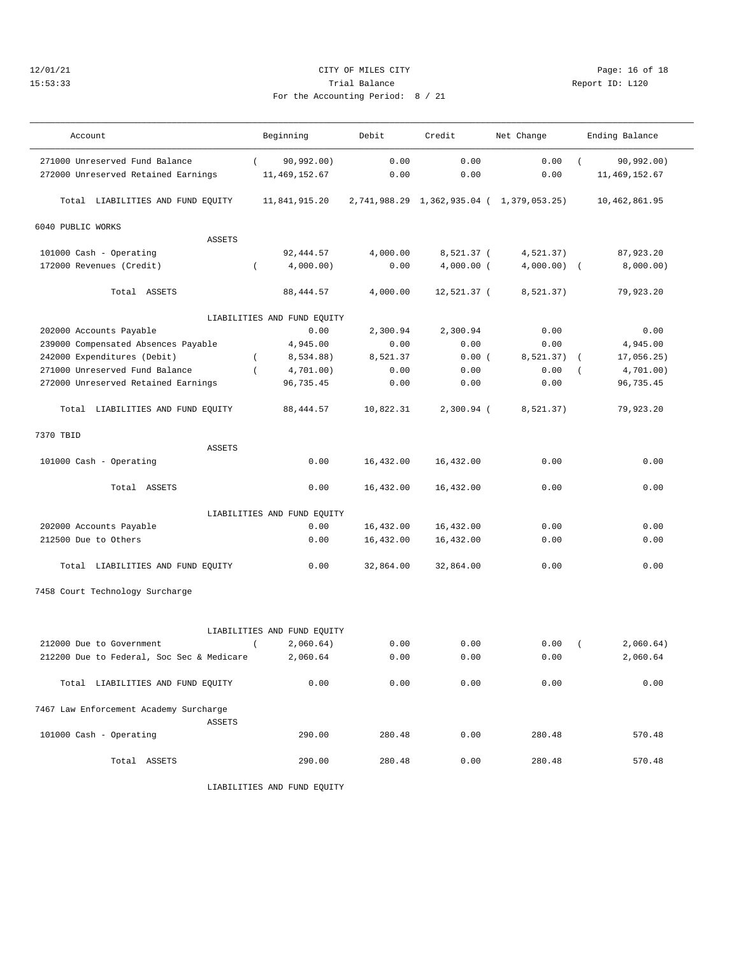## 12/01/21 Page: 16 of 18 15:53:33 Trial Balance Report ID: L120 For the Accounting Period: 8 / 21

| Account                                   | Beginning                     | Debit     | Credit       | Net Change                                | Ending Balance                |
|-------------------------------------------|-------------------------------|-----------|--------------|-------------------------------------------|-------------------------------|
|                                           |                               |           |              |                                           |                               |
| 271000 Unreserved Fund Balance            | 90,992.00)<br>$\sqrt{2}$      | 0.00      | 0.00         | 0.00                                      | 90,992.00)                    |
| 272000 Unreserved Retained Earnings       | 11, 469, 152.67               | 0.00      | 0.00         | 0.00                                      | 11, 469, 152.67               |
| Total LIABILITIES AND FUND EQUITY         | 11,841,915.20                 |           |              | 2,741,988.29 1,362,935.04 ( 1,379,053.25) | 10,462,861.95                 |
| 6040 PUBLIC WORKS                         |                               |           |              |                                           |                               |
| <b>ASSETS</b>                             |                               |           |              |                                           |                               |
| 101000 Cash - Operating                   | 92, 444.57                    | 4,000.00  | 8,521.37 (   | 4,521.37)                                 | 87,923.20                     |
| 172000 Revenues (Credit)                  | $\overline{ }$<br>4,000.00)   | 0.00      | $4,000.00$ ( | 4,000.00)                                 | 8,000.00)<br>$\sqrt{ }$       |
| Total ASSETS                              | 88, 444.57                    | 4,000.00  | 12,521.37 (  | 8,521.37)                                 | 79,923.20                     |
|                                           | LIABILITIES AND FUND EQUITY   |           |              |                                           |                               |
| 202000 Accounts Payable                   | 0.00                          | 2,300.94  | 2,300.94     | 0.00                                      | 0.00                          |
| 239000 Compensated Absences Payable       | 4,945.00                      | 0.00      | 0.00         | 0.00                                      | 4,945.00                      |
| 242000 Expenditures (Debit)               | 8,534.88)<br>$\left($         | 8,521.37  | 0.00(        | 8,521.37)                                 | 17,056.25)<br>$\left($        |
| 271000 Unreserved Fund Balance            | $\overline{(\ }$<br>4,701.00) | 0.00      | 0.00         | 0.00                                      | 4,701.00)<br>$\overline{(\ }$ |
| 272000 Unreserved Retained Earnings       | 96,735.45                     | 0.00      | 0.00         | 0.00                                      | 96,735.45                     |
| Total LIABILITIES AND FUND EQUITY         | 88, 444.57                    | 10,822.31 | 2,300.94 (   | 8,521.37)                                 | 79,923.20                     |
| 7370 TBID                                 |                               |           |              |                                           |                               |
| <b>ASSETS</b>                             |                               |           |              |                                           |                               |
| 101000 Cash - Operating                   | 0.00                          | 16,432.00 | 16,432.00    | 0.00                                      | 0.00                          |
| Total ASSETS                              | 0.00                          | 16,432.00 | 16,432.00    | 0.00                                      | 0.00                          |
|                                           | LIABILITIES AND FUND EQUITY   |           |              |                                           |                               |
| 202000 Accounts Payable                   | 0.00                          | 16,432.00 | 16,432.00    | 0.00                                      | 0.00                          |
| 212500 Due to Others                      | 0.00                          | 16,432.00 | 16,432.00    | 0.00                                      | 0.00                          |
| Total LIABILITIES AND FUND EQUITY         | 0.00                          | 32,864.00 | 32,864.00    | 0.00                                      | 0.00                          |
| 7458 Court Technology Surcharge           |                               |           |              |                                           |                               |
|                                           |                               |           |              |                                           |                               |
|                                           | LIABILITIES AND FUND EQUITY   |           |              |                                           |                               |
| 212000 Due to Government                  | 2,060.64)<br>$\left($         | 0.00      | 0.00         | 0.00                                      | 2,060.64)<br>$\overline{(\ }$ |
| 212200 Due to Federal, Soc Sec & Medicare | 2,060.64                      | 0.00      | 0.00         | 0.00                                      | 2,060.64                      |
| Total LIABILITIES AND FUND EQUITY         | 0.00                          | 0.00      | 0.00         | 0.00                                      | 0.00                          |
| 7467 Law Enforcement Academy Surcharge    |                               |           |              |                                           |                               |
| <b>ASSETS</b>                             |                               |           |              |                                           |                               |
| 101000 Cash - Operating                   | 290.00                        | 280.48    | 0.00         | 280.48                                    | 570.48                        |

Total ASSETS 290.00 280.48 0.00 280.48 570.48

LIABILITIES AND FUND EQUITY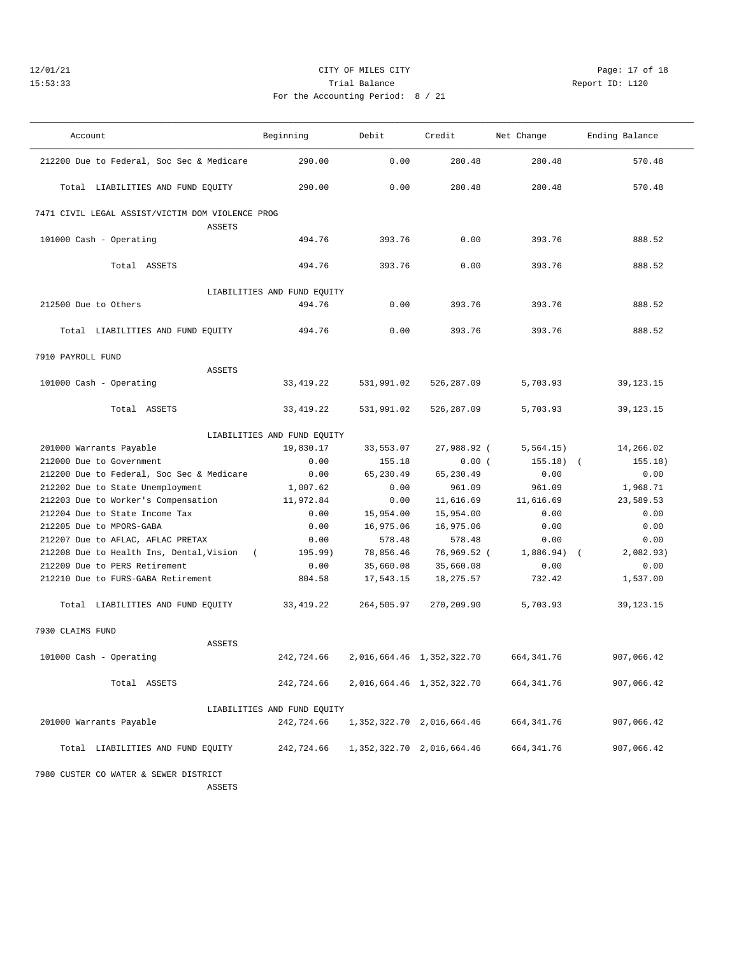## 12/01/21 **CITY OF MILES CITY CITY CITY Page: 17 of 18** 15:53:33 Trial Balance Report ID: L120 For the Accounting Period: 8 / 21

| Account                                                           | Beginning                   | Debit      | Credit                          | Net Change              | Ending Balance |
|-------------------------------------------------------------------|-----------------------------|------------|---------------------------------|-------------------------|----------------|
| 212200 Due to Federal, Soc Sec & Medicare                         | 290.00                      | 0.00       | 280.48                          | 280.48                  | 570.48         |
| Total LIABILITIES AND FUND EQUITY                                 | 290.00                      | 0.00       | 280.48                          | 280.48                  | 570.48         |
| 7471 CIVIL LEGAL ASSIST/VICTIM DOM VIOLENCE PROG<br><b>ASSETS</b> |                             |            |                                 |                         |                |
| 101000 Cash - Operating                                           | 494.76                      | 393.76     | 0.00                            | 393.76                  | 888.52         |
| Total ASSETS                                                      | 494.76                      | 393.76     | 0.00                            | 393.76                  | 888.52         |
|                                                                   | LIABILITIES AND FUND EQUITY |            |                                 |                         |                |
| 212500 Due to Others                                              | 494.76                      | 0.00       | 393.76                          | 393.76                  | 888.52         |
|                                                                   |                             |            |                                 |                         |                |
| Total LIABILITIES AND FUND EQUITY                                 | 494.76                      | 0.00       | 393.76                          | 393.76                  | 888.52         |
| 7910 PAYROLL FUND                                                 |                             |            |                                 |                         |                |
| <b>ASSETS</b>                                                     |                             |            |                                 |                         |                |
| 101000 Cash - Operating                                           | 33, 419. 22                 | 531,991.02 | 526,287.09                      | 5,703.93                | 39, 123. 15    |
| Total ASSETS                                                      | 33, 419.22                  | 531,991.02 | 526,287.09                      | 5,703.93                | 39,123.15      |
|                                                                   | LIABILITIES AND FUND EQUITY |            |                                 |                         |                |
| 201000 Warrants Payable                                           | 19,830.17                   | 33,553.07  | 27,988.92 (                     | 5,564.15)               | 14,266.02      |
| 212000 Due to Government                                          | 0.00                        | 155.18     | 0.00(                           | 155.18)<br>$\sqrt{2}$   | 155.18)        |
| 212200 Due to Federal, Soc Sec & Medicare                         | 0.00                        | 65,230.49  | 65,230.49                       | 0.00                    | 0.00           |
| 212202 Due to State Unemployment                                  | 1,007.62                    | 0.00       | 961.09                          | 961.09                  | 1,968.71       |
| 212203 Due to Worker's Compensation                               | 11,972.84                   | 0.00       | 11,616.69                       | 11,616.69               | 23,589.53      |
| 212204 Due to State Income Tax                                    | 0.00                        | 15,954.00  | 15,954.00                       | 0.00                    | 0.00           |
| 212205 Due to MPORS-GABA                                          | 0.00                        | 16,975.06  | 16,975.06                       | 0.00                    | 0.00           |
| 212207 Due to AFLAC, AFLAC PRETAX                                 | 0.00                        | 578.48     | 578.48                          | 0.00                    | 0.00           |
| 212208 Due to Health Ins, Dental, Vision (                        | 195.99)                     | 78,856.46  | 76,969.52 (                     | 1,886.94)<br>$\sqrt{2}$ | 2,082.93)      |
| 212209 Due to PERS Retirement                                     | 0.00                        | 35,660.08  | 35,660.08                       | 0.00                    | 0.00           |
| 212210 Due to FURS-GABA Retirement                                | 804.58                      | 17,543.15  | 18,275.57                       | 732.42                  | 1,537.00       |
| Total LIABILITIES AND FUND EQUITY                                 | 33, 419. 22                 | 264,505.97 | 270,209.90                      | 5,703.93                | 39,123.15      |
| 7930 CLAIMS FUND                                                  |                             |            |                                 |                         |                |
| <b>ASSETS</b>                                                     |                             |            |                                 |                         |                |
| 101000 Cash - Operating                                           | 242,724.66                  |            | 2,016,664.46 1,352,322.70       | 664, 341.76             | 907,066.42     |
| Total ASSETS                                                      | 242,724.66                  |            | 2,016,664.46 1,352,322.70       | 664,341.76              | 907,066.42     |
|                                                                   | LIABILITIES AND FUND EQUITY |            |                                 |                         |                |
| 201000 Warrants Payable                                           | 242,724.66                  |            | 1, 352, 322. 70 2, 016, 664. 46 | 664,341.76              | 907,066.42     |
| Total LIABILITIES AND FUND EQUITY                                 | 242,724.66                  |            | 1, 352, 322. 70 2, 016, 664. 46 | 664,341.76              | 907,066.42     |
| 7980 CUSTER CO WATER & SEWER DISTRICT                             |                             |            |                                 |                         |                |

ASSETS